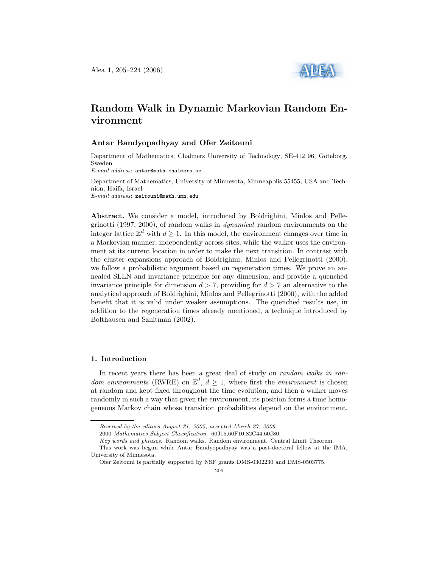

# Random Walk in Dynamic Markovian Random Environment

#### Antar Bandyopadhyay and Ofer Zeitouni

Department of Mathematics, Chalmers University of Technology, SE-412 96, Göteborg, Sweden

E-mail address: antar@math.chalmers.se

Department of Mathematics, University of Minnesota, Minneapolis 55455, USA and Technion, Haifa, Israel E-mail address: zeitouni@math.umn.edu

Abstract. We consider a model, introduced by Boldrighini, Minlos and Pellegrinotti (1997, 2000), of random walks in dynamical random environments on the integer lattice  $\mathbb{Z}^d$  with  $d \geq 1$ . In this model, the environment changes over time in a Markovian manner, independently across sites, while the walker uses the environment at its current location in order to make the next transition. In contrast with the cluster expansions approach of Boldrighini, Minlos and Pellegrinotti (2000), we follow a probabilistic argument based on regeneration times. We prove an annealed SLLN and invariance principle for any dimension, and provide a quenched invariance principle for dimension  $d > 7$ , providing for  $d > 7$  an alternative to the analytical approach of Boldrighini, Minlos and Pellegrinotti (2000), with the added benefit that it is valid under weaker assumptions. The quenched results use, in addition to the regeneration times already mentioned, a technique introduced by Bolthausen and Sznitman (2002).

## 1. Introduction

In recent years there has been a great deal of study on *random walks in ran*dom environments (RWRE) on  $\mathbb{Z}^d$ ,  $d \geq 1$ , where first the environment is chosen at random and kept fixed throughout the time evolution, and then a walker moves randomly in such a way that given the environment, its position forms a time homogeneous Markov chain whose transition probabilities depend on the environment.

Received by the editors August 31, 2005, accepted March 27, 2006.

<sup>2000</sup> Mathematics Subject Classification. 60J15,60F10,82C44,60J80.

Key words and phrases. Random walks. Random environment. Central Limit Theorem.

This work was begun while Antar Bandyopadhyay was a post-doctoral fellow at the IMA, University of Minnesota.

Ofer Zeitouni is partially supported by NSF grants DMS-0302230 and DMS-0503775.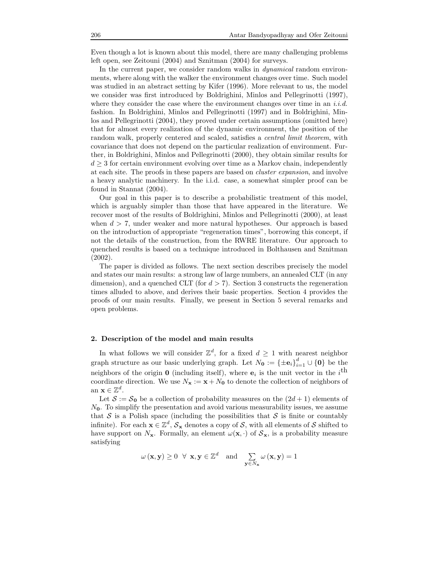Even though a lot is known about this model, there are many challenging problems left open, see Zeitouni (2004) and Sznitman (2004) for surveys.

In the current paper, we consider random walks in *dynamical* random environments, where along with the walker the environment changes over time. Such model was studied in an abstract setting by Kifer (1996). More relevant to us, the model we consider was first introduced by Boldrighini, Minlos and Pellegrinotti (1997), where they consider the case where the environment changes over time in an i.i.d. fashion. In Boldrighini, Minlos and Pellegrinotti (1997) and in Boldrighini, Minlos and Pellegrinotti (2004), they proved under certain assumptions (omitted here) that for almost every realization of the dynamic environment, the position of the random walk, properly centered and scaled, satisfies a *central limit theorem*, with covariance that does not depend on the particular realization of environment. Further, in Boldrighini, Minlos and Pellegrinotti (2000), they obtain similar results for  $d \geq 3$  for certain environment evolving over time as a Markov chain, independently at each site. The proofs in these papers are based on cluster expansion, and involve a heavy analytic machinery. In the i.i.d. case, a somewhat simpler proof can be found in Stannat (2004).

Our goal in this paper is to describe a probabilistic treatment of this model, which is arguably simpler than those that have appeared in the literature. We recover most of the results of Boldrighini, Minlos and Pellegrinotti (2000), at least when  $d > 7$ , under weaker and more natural hypotheses. Our approach is based on the introduction of appropriate "regeneration times", borrowing this concept, if not the details of the construction, from the RWRE literature. Our approach to quenched results is based on a technique introduced in Bolthausen and Sznitman (2002).

The paper is divided as follows. The next section describes precisely the model and states our main results: a strong law of large numbers, an annealed CLT (in any dimension), and a quenched CLT (for  $d > 7$ ). Section 3 constructs the regeneration times alluded to above, and derives their basic properties. Section 4 provides the proofs of our main results. Finally, we present in Section 5 several remarks and open problems.

### 2. Description of the model and main results

In what follows we will consider  $\mathbb{Z}^d$ , for a fixed  $d \geq 1$  with nearest neighbor graph structure as our basic underlying graph. Let  $N_0 := {\pm e_i}_{i=1}^d \cup \{0\}$  be the neighbors of the origin **0** (including itself), where  $e_i$  is the unit vector in the  $i^{\text{th}}$ coordinate direction. We use  $N_x := x + N_0$  to denote the collection of neighbors of an  $\mathbf{x} \in \mathbb{Z}^d$ .

Let  $S := S_0$  be a collection of probability measures on the  $(2d + 1)$  elements of  $N<sub>0</sub>$ . To simplify the presentation and avoid various measurability issues, we assume that  $S$  is a Polish space (including the possibilities that  $S$  is finite or countably infinite). For each  $\mathbf{x} \in \mathbb{Z}^d$ ,  $\mathcal{S}_\mathbf{x}$  denotes a copy of  $\mathcal{S}$ , with all elements of  $\mathcal{S}$  shifted to have support on  $N_x$ . Formally, an element  $\omega(\mathbf{x}, \cdot)$  of  $\mathcal{S}_x$ , is a probability measure satisfying

$$
\omega(\mathbf{x}, \mathbf{y}) \ge 0 \quad \forall \mathbf{x}, \mathbf{y} \in \mathbb{Z}^d \quad \text{and} \quad \sum_{\mathbf{y} \in N_{\mathbf{x}}} \omega(\mathbf{x}, \mathbf{y}) = 1
$$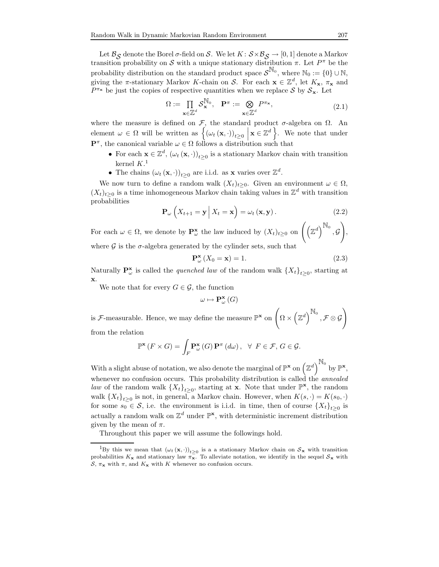Let  $\mathcal{B}_{\mathcal{S}}$  denote the Borel  $\sigma$ -field on S. We let  $K : \mathcal{S} \times \mathcal{B}_{\mathcal{S}} \to [0,1]$  denote a Markov<br>paition probability on S with a unique stationary distribution  $\pi$ . Let  $P^{\pi}$  be the transition probability on S with a unique stationary distribution  $\pi$ . Let  $P^{\pi}$  be the probability distribution on the standard product space  $S^{\mathbb{N}_0}$ , where  $\mathbb{N}_0 := \{0\} \cup \mathbb{N}$ , giving the  $\pi$ -stationary Markov K-chain on S. For each  $\mathbf{x} \in \mathbb{Z}^d$ , let  $K_{\mathbf{x}}$ ,  $\pi_{\mathbf{x}}$  and  $P^{\pi_{\mathbf{x}}}$  be just the copies of respective quantities when we replace  $S$  by  $S_{\mathbf{x}}$ . Let

$$
\Omega := \prod_{\mathbf{x} \in \mathbb{Z}^d} \mathcal{S}_{\mathbf{x}}^{\mathbb{N}_0}, \quad \mathbf{P}^{\pi} := \bigotimes_{\mathbf{x} \in \mathbb{Z}^d} P^{\pi_{\mathbf{x}}},\tag{2.1}
$$

where the measure is defined on  $\mathcal{F}$ , the standard product  $\sigma$ -algebra on  $\Omega$ . An element  $\omega \in \Omega$  will be written as  $\left\{ (\omega_t (\mathbf{x}, \cdot))_{t \geq 0} \mid \mathbf{x} \in \mathbb{Z}^d \right\}$ . We note that under  $\mathbf{P}^{\pi}$ , the canonical variable  $\omega \in \Omega$  follows a distribution such that

- For each  $\mathbf{x} \in \mathbb{Z}^d$ ,  $(\omega_t(\mathbf{x}, \cdot))_{t \geq 0}$  is a stationary Markov chain with transition kernel  $K<sup>1</sup>$
- The chains  $(\omega_t (\mathbf{x}, \cdot))_{t \geq 0}$  are i.i.d. as **x** varies over  $\mathbb{Z}^d$ .

We now turn to define a random walk  $(X_t)_{t\geq0}$ . Given an environment  $\omega \in \Omega$ ,  $(X_t)_{t\geq0}$  is a time inhomogeneous Markov chain taking values in  $\mathbb{Z}^d$  with transition probabilities

$$
\mathbf{P}_{\omega}\left(X_{t+1}=\mathbf{y}\,\big|\,X_t=\mathbf{x}\right)=\omega_t\left(\mathbf{x},\mathbf{y}\right). \tag{2.2}
$$

For each  $\omega \in \Omega$ , we denote by  $\mathbf{P}_{\omega}^{\mathbf{x}}$  the law induced by  $(X_t)_{t\geq 0}$  on  $\left(\left(\mathbb{Z}^d\right)^{\mathbb{N}_0}\right)$  $, G$ ! where  $\mathcal G$  is the  $\sigma$ -algebra generated by the cylinder sets, such that

$$
\mathbf{P}_{\omega}^{\mathbf{x}}\left(X_{0}=\mathbf{x}\right)=1.\tag{2.3}
$$

Naturally  $\mathbf{P}_{\omega}^{\mathbf{x}}$  is called the *quenched law* of the random walk  $\{X_t\}_{t\geq 0}$ , starting at x.

We note that for every  $G \in \mathcal{G}$ , the function

$$
\omega \mapsto \mathbf{P}_{\omega}^{\mathbf{x}}\left(G\right)
$$

is  $\mathcal{F}\text{-measurable. Hence, we may define the measure } \mathbb{P}^{\mathbf{x}} \text{ on } \left(\Omega \times \left(\mathbb{Z}^d\right)^{\mathbb{N}_0}\right)$  $, \mathcal{F} \otimes \mathcal{G}$ !

from the relation

$$
\mathbb{P}^{\mathbf{x}}\left(F \times G\right) = \int_{F} \mathbf{P}_{\omega}^{\mathbf{x}}\left(G\right) \mathbf{P}^{\pi}\left(d\omega\right), \ \ \forall \ \ F \in \mathcal{F}, \ G \in \mathcal{G}.
$$

With a slight abuse of notation, we also denote the marginal of  $\mathbb{P}^{\mathbf{x}}$  on  $(\mathbb{Z}^d)^{\mathbb{N}_0}$  by  $\mathbb{P}^{\mathbf{x}},$ whenever no confusion occurs. This probability distribution is called the *annealed* law of the random walk  $\{X_t\}_{t\geq 0}$ , starting at **x**. Note that under  $\mathbb{P}^{\mathbf{x}}$ , the random walk  ${X_t}_{t\geq0}$  is not, in general, a Markov chain. However, when  $K(s, \cdot) = K(s_0, \cdot)$ for some  $s_0 \in \mathcal{S}$ , i.e. the environment is i.i.d. in time, then of course  $\{X_t\}_{t\geq 0}$  is actually a random walk on  $\mathbb{Z}^d$  under  $\mathbb{P}^{\mathbf{x}}$ , with deterministic increment distribution given by the mean of  $\pi$ .

Throughout this paper we will assume the followings hold.

,

<sup>&</sup>lt;sup>1</sup>By this we mean that  $(\omega_t(\mathbf{x},\cdot))_{t\geq0}$  is a a stationary Markov chain on  $S_{\mathbf{x}}$  with transition probabilities  $K_{\mathbf{x}}$  and stationary law  $\pi_{\mathbf{x}}^-$ . To alleviate notation, we identify in the sequel  $S_{\mathbf{x}}$  with  $S, \pi_{\mathbf{x}}$  with  $\pi$ , and  $K_{\mathbf{x}}$  with K whenever no confusion occurs.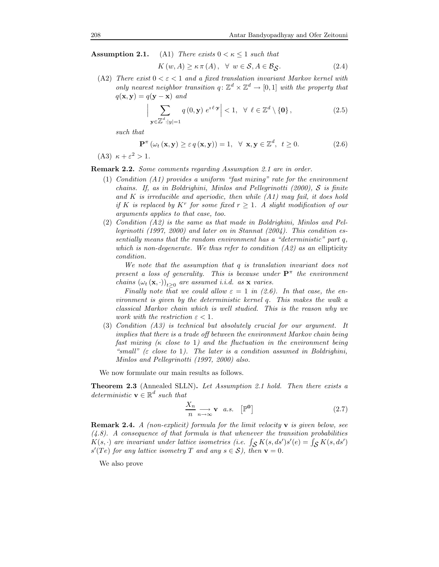**Assumption 2.1.** (A1) There exists  $0 < \kappa \leq 1$  such that

$$
K(w, A) \ge \kappa \pi(A), \quad \forall \ w \in \mathcal{S}, A \in \mathcal{B}_{\mathcal{S}}.
$$
 (2.4)

(A2) There exist  $0 < \varepsilon < 1$  and a fixed translation invariant Markov kernel with only nearest neighbor transition  $q: \mathbb{Z}^d \times \mathbb{Z}^d \to [0,1]$  with the property that  $q(\mathbf{x}, \mathbf{y}) = q(\mathbf{y} - \mathbf{x})$  and

$$
\left|\sum_{\mathbf{y}\in\mathbb{Z}^d:|y|=1} q(0,\mathbf{y}) e^{i\ell \cdot \mathbf{y}}\right| < 1, \ \forall \ \ell \in \mathbb{Z}^d \setminus \{\mathbf{0}\},\tag{2.5}
$$

such that

$$
\mathbf{P}^{\pi} \left( \omega_t \left( \mathbf{x}, \mathbf{y} \right) \geq \varepsilon \, q \left( \mathbf{x}, \mathbf{y} \right) \right) = 1, \ \ \forall \ \mathbf{x}, \mathbf{y} \in \mathbb{Z}^d, \ t \geq 0. \tag{2.6}
$$

(A3)  $\kappa + \varepsilon^2 > 1$ .

Remark 2.2. Some comments regarding Assumption 2.1 are in order.

- $(1)$  Condition  $(A1)$  provides a uniform "fast mixing" rate for the environment chains. If, as in Boldrighini, Minlos and Pellegrinotti (2000), S is finite and  $K$  is irreducible and aperiodic, then while  $(A1)$  may fail, it does hold if K is replaced by  $K^r$  for some fixed  $r \geq 1$ . A slight modification of our arguments applies to that case, too.
- (2) Condition (A2) is the same as that made in Boldrighini, Minlos and Pellegrinotti (1997, 2000) and later on in Stannat (2004). This condition essentially means that the random environment has a "deterministic" part q, which is non-degenerate. We thus refer to condition  $(A2)$  as an ellipticity condition.

We note that the assumption that q is translation invariant does not present a loss of generality. This is because under  $\mathbf{P}^{\pi}$  the environment chains  $(\omega_t(\mathbf{x},\cdot))_{t\geq 0}$  are assumed i.i.d. as **x** varies.

Finally note that we could allow  $\varepsilon = 1$  in (2.6). In that case, the environment is given by the deterministic kernel q. This makes the walk a classical Markov chain which is well studied. This is the reason why we work with the restriction  $\varepsilon < 1$ .

(3) Condition (A3) is technical but absolutely crucial for our argument. It implies that there is a trade off between the environment Markov chain being fast mixing  $(\kappa \text{ close to } 1)$  and the fluctuation in the environment being "small" ( $\varepsilon$  close to 1). The later is a condition assumed in Boldrighini, Minlos and Pellegrinotti (1997, 2000) also.

We now formulate our main results as follows.

Theorem 2.3 (Annealed SLLN). Let Assumption 2.1 hold. Then there exists a deterministic  $\mathbf{v} \in \mathbb{R}^d$  such that

$$
\frac{X_n}{n} \underset{n \to \infty}{\longrightarrow} \mathbf{v} \quad a.s. \quad [\mathbb{P}^{\mathbf{0}}] \tag{2.7}
$$

**Remark 2.4.** A (non-explicit) formula for the limit velocity  $\bf{v}$  is given below, see  $(4.8)$ . A consequence of that formula is that whenever the transition probabilities  $K(s, \cdot)$  are invariant under lattice isometries (i.e.  $\int_{\mathcal{S}} K(s, ds')s'(e) = \int_{\mathcal{S}} K(s, ds')$ <br> $s'(T_{\mathcal{S}})$  for any lattice isometry  $T$  and any  $s \in \mathcal{S}$ ), then  $\mathbf{v} = 0$  $s'(Te)$  for any lattice isometry T and any  $s \in S$ ), then  $\mathbf{v} = 0$ .

We also prove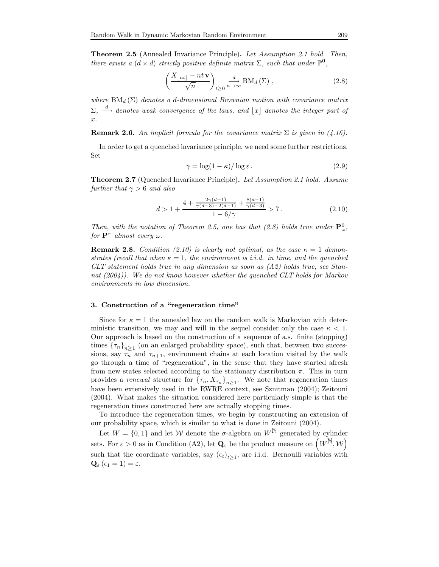Theorem 2.5 (Annealed Invariance Principle). Let Assumption 2.1 hold. Then, there exists a  $(d \times d)$  strictly positive definite matrix  $\Sigma$ , such that under  $\mathbb{P}^{\mathbf{0}}$ ,

$$
\left(\frac{X_{\lfloor nt \rfloor} - nt\,\mathbf{v}}{\sqrt{n}}\right)_{t \ge 0} \xrightarrow{n \to \infty} \text{BM}_d\left(\Sigma\right) ,\tag{2.8}
$$

where  $BM_d(\Sigma)$  denotes a d-dimensional Brownian motion with covariance matrix  $\Sigma$ ,  $\stackrel{d}{\longrightarrow}$  denotes weak convergence of the laws, and  $\lfloor x \rfloor$  denotes the integer part of x.

**Remark 2.6.** An implicit formula for the covariance matrix  $\Sigma$  is given in (4.16).

In order to get a quenched invariance principle, we need some further restrictions. Set

$$
\gamma = \log(1 - \kappa) / \log \varepsilon. \tag{2.9}
$$

Theorem 2.7 (Quenched Invariance Principle). Let Assumption 2.1 hold. Assume further that  $\gamma > 6$  and also

$$
d > 1 + \frac{4 + \frac{2\gamma(d-1)}{\gamma(d-3) - 2(d-1)} + \frac{8(d-1)}{\gamma(d-3)}}{1 - 6/\gamma} > 7.
$$
 (2.10)

Then, with the notation of Theorem 2.5, one has that (2.8) holds true under  $\mathbf{P}_{\omega}^0$ , for  $\mathbf{P}^{\pi}$  almost every  $\omega$ .

**Remark 2.8.** Condition (2.10) is clearly not optimal, as the case  $\kappa = 1$  demonstrates (recall that when  $\kappa = 1$ , the environment is *i.i.d.* in time, and the quenched CLT statement holds true in any dimension as soon as (A2) holds true, see Stannat  $(2004)$ . We do not know however whether the quenched CLT holds for Markov environments in low dimension.

#### 3. Construction of a "regeneration time"

Since for  $\kappa = 1$  the annealed law on the random walk is Markovian with deterministic transition, we may and will in the sequel consider only the case  $\kappa < 1$ . Our approach is based on the construction of a sequence of a.s. finite (stopping) times  $\{\tau_n\}_{n\geq 1}$  (on an enlarged probability space), such that, between two successions, say  $\tau_n$  and  $\tau_{n+1}$ , environment chains at each location visited by the walk go through a time of "regeneration", in the sense that they have started afresh from new states selected according to the stationary distribution  $\pi$ . This in turn provides a *renewal* structure for  ${\{\tau_n, X_{\tau_n}\}}_{n \geq 1}$ . We note that regeneration times have been extensively used in the RWRE context, see Sznitman (2004); Zeitouni (2004). What makes the situation considered here particularly simple is that the regeneration times constructed here are actually stopping times.

To introduce the regeneration times, we begin by constructing an extension of our probability space, which is similar to what is done in Zeitouni (2004).

Let  $W = \{0, 1\}$  and let W denote the  $\sigma$ -algebra on  $W^{\mathbb{N}}$  generated by cylinder sets. For  $\varepsilon > 0$  as in Condition (A2), let  $\mathbf{Q}_{\varepsilon}$  be the product measure on  $(W^{\mathbb{N}}, W)$ such that the coordinate variables, say  $(\epsilon_t)_{t\geq 1}$ , are i.i.d. Bernoulli variables with  $\mathbf{Q}_{\varepsilon}$  ( $\epsilon_1 = 1$ ) =  $\varepsilon$ .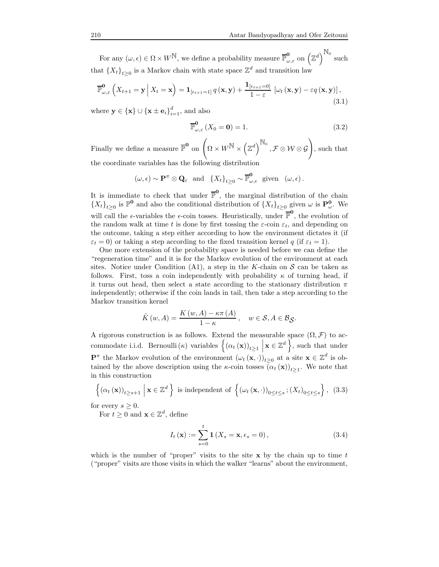For any  $(\omega, \epsilon) \in \Omega \times W^{\mathbb{N}}$ , we define a probability measure  $\overline{\mathbb{P}}_{\omega, \epsilon}^{\mathbf{0}}$  on  $(\mathbb{Z}^d)^{\mathbb{N}_0}$  such that  $\{X_t\}_{t\geq 0}$  is a Markov chain with state space  $\mathbb{Z}^d$  and transition law

$$
\overline{\mathbb{P}}_{\omega,\varepsilon}^{0}\left(X_{t+1}=\mathbf{y}\,\bigg|\,X_{t}=\mathbf{x}\right)=\mathbf{1}_{\left[\epsilon_{t+1}=1\right]}q\left(\mathbf{x},\mathbf{y}\right)+\frac{\mathbf{1}_{\left[\epsilon_{t+1}=0\right]}}{1-\varepsilon}\left[\omega_{t}\left(\mathbf{x},\mathbf{y}\right)-\varepsilon q\left(\mathbf{x},\mathbf{y}\right)\right],\tag{3.1}
$$

where  $\mathbf{y} \in {\{\mathbf{x}\}} \cup {\{\mathbf{x} \pm \mathbf{e}_i\}}_{i=1}^d$ , and also

$$
\overline{\mathbb{P}}_{\omega,\varepsilon}^{\mathbf{0}}\left(X_0 = \mathbf{0}\right) = 1. \tag{3.2}
$$

Finally we define a measure  $\overline{\mathbb{P}}^{\mathbf{0}}$  on  $\left(\Omega \times W^{\mathbb{N}} \times \left(\mathbb{Z}^d\right)^{\mathbb{N}_0}\right)$  $, \mathcal{F} \otimes \mathcal{W} \otimes \mathcal{G}$ ! , such that the coordinate variables has the following distribution

$$
(\omega,\epsilon) \sim \mathbf{P}^{\pi} \otimes \mathbf{Q}_{\epsilon}
$$
 and  $\{X_t\}_{t\geq 0} \sim \overline{\mathbb{P}}_{\omega,\epsilon}^{\mathbf{0}}$  given  $(\omega,\epsilon)$ .

It is immediate to check that under  $\overline{\mathbb{P}}^0$ , the marginal distribution of the chain  ${X_t}_{t\geq0}$  is  $\mathbb{P}^0$  and also the conditional distribution of  ${X_t}_{t\geq0}$  given  $\omega$  is  $\mathbf{P}^0_{\omega}$ . We will call the  $\epsilon$ -variables the  $\epsilon$ -coin tosses. Heuristically, under  $\mathbb{P}^0$ , the evolution of the random walk at time t is done by first tossing the  $\varepsilon$ -coin  $\varepsilon_t$ , and depending on the outcome, taking a step either according to how the environment dictates it (if  $\varepsilon_t = 0$ ) or taking a step according to the fixed transition kernel q (if  $\varepsilon_t = 1$ ).

One more extension of the probability space is needed before we can define the "regeneration time" and it is for the Markov evolution of the environment at each sites. Notice under Condition (A1), a step in the K-chain on  $S$  can be taken as follows. First, toss a coin independently with probability  $\kappa$  of turning head, if it turns out head, then select a state according to the stationary distribution  $\pi$ independently; otherwise if the coin lands in tail, then take a step according to the Markov transition kernel

$$
\tilde{K}(w, A) = \frac{K(w, A) - \kappa \pi(A)}{1 - \kappa}, \quad w \in \mathcal{S}, A \in \mathcal{B}_{\mathcal{S}}.
$$

A rigorous construction is as follows. Extend the measurable space  $(\Omega, \mathcal{F})$  to accommodate i.i.d. Bernoulli(κ) variables  $\left\{ (\alpha_t (\mathbf{x}))_{t \geq 1} \right\}$  $\left( \mathbf{x} \in \mathbb{Z}^d \right)$ , such that under **P**<sup> $\pi$ </sup> the Markov evolution of the environment  $(\omega_t(\mathbf{x}, \cdot))_{t \geq 0}$  at a site  $\mathbf{x} \in \mathbb{Z}^d$  is obtained by the above description using the  $\kappa$ -coin tosses  $(\alpha_t(\mathbf{x}))_{t\geq 1}$ . We note that in this construction

$$
\left\{ (\alpha_t(\mathbf{x}))_{t \ge s+1} \, \middle| \, \mathbf{x} \in \mathbb{Z}^d \right\} \text{ is independent of } \left\{ (\omega_t(\mathbf{x}, \cdot))_{0 \le t \le s} ; (X_t)_{0 \le t \le s} \right\}, \tag{3.3}
$$

for every  $s \geq 0$ .

For  $t \geq 0$  and  $\mathbf{x} \in \mathbb{Z}^d$ , define

$$
I_t(\mathbf{x}) := \sum_{s=0}^t \mathbf{1}(X_s = \mathbf{x}, \epsilon_s = 0), \qquad (3.4)
$$

which is the number of "proper" visits to the site  $x$  by the chain up to time t ("proper" visits are those visits in which the walker "learns" about the environment,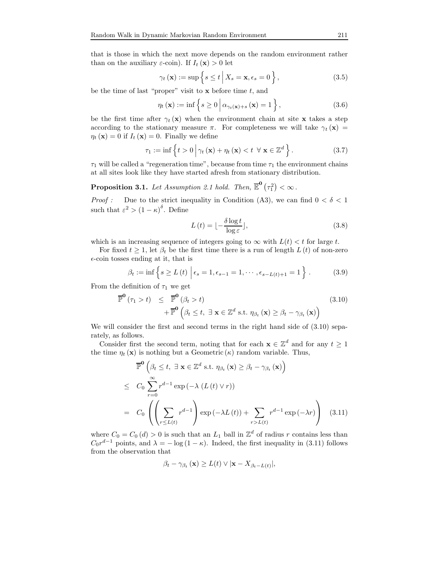that is those in which the next move depends on the random environment rather than on the auxiliary  $\varepsilon$ -coin). If  $I_t(\mathbf{x}) > 0$  let

$$
\gamma_t(\mathbf{x}) := \sup \left\{ s \le t \, \middle| \, X_s = \mathbf{x}, \epsilon_s = 0 \right\},\tag{3.5}
$$

be the time of last "proper" visit to  $x$  before time  $t$ , and

$$
\eta_t(\mathbf{x}) := \inf \left\{ s \ge 0 \, \middle| \, \alpha_{\gamma_t(\mathbf{x}) + s}(\mathbf{x}) = 1 \right\},\tag{3.6}
$$

be the first time after  $\gamma_t(\mathbf{x})$  when the environment chain at site x takes a step according to the stationary measure  $\pi$ . For completeness we will take  $\gamma_t(\mathbf{x}) =$  $\eta_t(\mathbf{x}) = 0$  if  $I_t(\mathbf{x}) = 0$ . Finally we define

$$
\tau_1 := \inf \left\{ t > 0 \, \middle| \, \gamma_t \left( \mathbf{x} \right) + \eta_t \left( \mathbf{x} \right) < t \, \forall \, \mathbf{x} \in \mathbb{Z}^d \right\}. \tag{3.7}
$$

 $\tau_1$  will be called a "regeneration time", because from time  $\tau_1$  the environment chains at all sites look like they have started afresh from stationary distribution.

**Proposition 3.1.** Let Assumption 2.1 hold. Then,  $\overline{\mathbb{E}}^{\mathbf{0}}(\tau_1^2) < \infty$ .

*Proof* : Due to the strict inequality in Condition (A3), we can find  $0 < \delta < 1$ such that  $\varepsilon^2 > (1 - \kappa)^{\delta}$ . Define

$$
L(t) = \lfloor -\frac{\delta \log t}{\log \varepsilon} \rfloor, \tag{3.8}
$$

which is an increasing sequence of integers going to  $\infty$  with  $L(t) < t$  for large t.

For fixed  $t \geq 1$ , let  $\beta_t$  be the first time there is a run of length  $L(t)$  of non-zero  $\epsilon$ -coin tosses ending at it, that is

$$
\beta_t := \inf \left\{ s \ge L(t) \; \middle| \; \epsilon_s = 1, \epsilon_{s-1} = 1, \cdots, \epsilon_{s-L(t)+1} = 1 \right\}.
$$
 (3.9)

From the definition of  $\tau_1$  we get

$$
\overline{\mathbb{P}}^{\mathbf{0}}(\tau_{1} > t) \leq \overline{\mathbb{P}}^{\mathbf{0}}(\beta_{t} > t) \n+ \overline{\mathbb{P}}^{\mathbf{0}}(\beta_{t} \leq t, \exists \mathbf{x} \in \mathbb{Z}^{d} \text{ s.t. } \eta_{\beta_{t}}(\mathbf{x}) \geq \beta_{t} - \gamma_{\beta_{t}}(\mathbf{x}))
$$
\n(3.10)

We will consider the first and second terms in the right hand side of  $(3.10)$  separately, as follows.

Consider first the second term, noting that for each  $\mathbf{x} \in \mathbb{Z}^d$  and for any  $t \geq 1$ the time  $\eta_t(\mathbf{x})$  is nothing but a Geometric  $(\kappa)$  random variable. Thus,

$$
\mathbb{P}^{\mathbf{0}}\left(\beta_{t} \leq t, \ \exists \ \mathbf{x} \in \mathbb{Z}^{d} \ \text{s.t.} \ \eta_{\beta_{t}}\left(\mathbf{x}\right) \geq \beta_{t} - \gamma_{\beta_{t}}\left(\mathbf{x}\right)\right)
$$
\n
$$
\leq C_{0} \sum_{r=0}^{\infty} r^{d-1} \exp\left(-\lambda \left(L\left(t\right) \vee r\right)\right)
$$
\n
$$
= C_{0} \left(\left(\sum_{r \leq L(t)} r^{d-1}\right) \exp\left(-\lambda L\left(t\right)\right) + \sum_{r > L(t)} r^{d-1} \exp\left(-\lambda r\right)\right) \tag{3.11}
$$

where  $C_0 = C_0(d) > 0$  is such that an  $L_1$  ball in  $\mathbb{Z}^d$  of radius r contains less than  $C_0 r^{d-1}$  points, and  $\lambda = -\log(1 - \kappa)$ . Indeed, the first inequality in (3.11) follows from the observation that

$$
\beta_t - \gamma_{\beta_t}(\mathbf{x}) \ge L(t) \vee |\mathbf{x} - X_{\beta_t - L(t)}|,
$$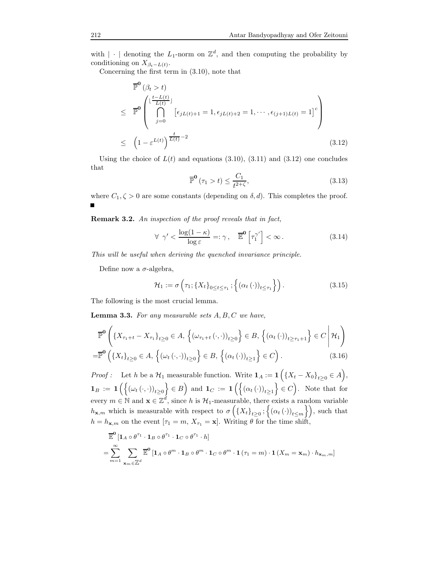with  $|\cdot|$  denoting the  $L_1$ -norm on  $\mathbb{Z}^d$ , and then computing the probability by conditioning on  $X_{\beta_t - L(t)}$ .

Concerning the first term in (3.10), note that

$$
\begin{aligned}\n\overline{\mathbb{P}}^{\mathbf{0}}\left(\beta_{t} > t\right) \\
&\leq \overline{\mathbb{P}}^{\mathbf{0}}\left(\bigcap_{j=0}^{\lfloor\frac{t-L(t)}{L(t)}\rfloor}\left[\epsilon_{jL(t)+1}=1,\epsilon_{jL(t)+2}=1,\cdots,\epsilon_{(j+1)L(t)}=1\right]^{c}\right) \\
&\leq \left(1-\varepsilon^{L(t)}\right)^{\frac{t}{L(t)}-2}\n\end{aligned}
$$
\n(3.12)

Using the choice of  $L(t)$  and equations (3.10), (3.11) and (3.12) one concludes that

$$
\overline{\mathbb{P}}^{\mathbf{0}}\left(\tau_{1} > t\right) \leq \frac{C_{1}}{t^{2+\zeta}},\tag{3.13}
$$

where  $C_1, \zeta > 0$  are some constants (depending on  $\delta, d$ ). This completes the proof.

Remark 3.2. An inspection of the proof reveals that in fact,

$$
\forall \ \gamma' < \frac{\log(1 - \kappa)}{\log \varepsilon} =: \gamma, \quad \overline{\mathbb{E}}^{\mathbf{0}} \left[ \tau_1^{\gamma'} \right] < \infty. \tag{3.14}
$$

This will be useful when deriving the quenched invariance principle.

Define now a  $\sigma$ -algebra,

$$
\mathcal{H}_1 := \sigma\left(\tau_1; \{X_t\}_{0 \le t \le \tau_1}; \left\{ (\alpha_t(\cdot))_{t \le \tau_1} \right\} \right). \tag{3.15}
$$

The following is the most crucial lemma.

**Lemma 3.3.** For any measurable sets  $A, B, C$  we have,

$$
\mathbb{P}^{\mathbf{0}}\left(\left\{X_{\tau_{1}+t}-X_{\tau_{1}}\right\}_{t\geq0}\in A,\left\{(\omega_{\tau_{1}+t}(\cdot,\cdot))_{t\geq0}\right\}\in B,\left\{(\alpha_{t}(\cdot))_{t\geq\tau_{1}+1}\right\}\in C\,\middle|\,\mathcal{H}_{1}\right)
$$
\n
$$
=\mathbb{P}^{\mathbf{0}}\left(\left\{X_{t}\right\}_{t\geq0}\in A,\left\{(\omega_{t}(\cdot,\cdot))_{t\geq0}\right\}\in B,\left\{(\alpha_{t}(\cdot))_{t\geq1}\right\}\in C\right).
$$
\n(3.16)

*Proof*: Let h be a  $\mathcal{H}_1$  measurable function. Write  $\mathbf{1}_A := \mathbf{1} \Big( \{X_t - X_0\}_{t \geq 0} \in A \Big)$ ,  $\mathbf{1}_B := \mathbf{1}\left( \left\{ (\omega_t(\cdot,\cdot))_{t\geq 0} \right\} \in B \right)$  and  $\mathbf{1}_C := \mathbf{1}\left( \left\{ (\alpha_t(\cdot))_{t\geq 1} \right\} \in C \right)$ . Note that for every  $m \in \mathbb{N}$  and  $\mathbf{x} \in \mathbb{Z}^d$ , since h is  $\mathcal{H}_1$ -measurable, there exists a random variable  $h_{\mathbf{x},m}$  which is measurable with respect to  $\sigma\left(\left\{X_t\right\}_{t\geq0};\left\{\left(\alpha_t\left(\cdot\right)\right)_{t\leq m}\right\}\right)$ , such that  $h = h_{\mathbf{x},m}$  on the event  $[\tau_1 = m, X_{\tau_1} = \mathbf{x}]$ . Writing  $\theta$  for the time shift,

$$
\mathbb{E}^{\mathbf{0}}[\mathbf{1}_{A}\circ\theta^{\tau_{1}}\cdot\mathbf{1}_{B}\circ\theta^{\tau_{1}}\cdot\mathbf{1}_{C}\circ\theta^{\tau_{1}}\cdot h]
$$
\n
$$
=\sum_{m=1}^{\infty}\sum_{\mathbf{x}_{m}\in\mathbb{Z}^{d}}\mathbb{E}^{\mathbf{0}}[\mathbf{1}_{A}\circ\theta^{m}\cdot\mathbf{1}_{B}\circ\theta^{m}\cdot\mathbf{1}_{C}\circ\theta^{m}\cdot\mathbf{1}(\tau_{1}=m)\cdot\mathbf{1}(X_{m}=\mathbf{x}_{m})\cdot h_{\mathbf{x}_{m},m}]
$$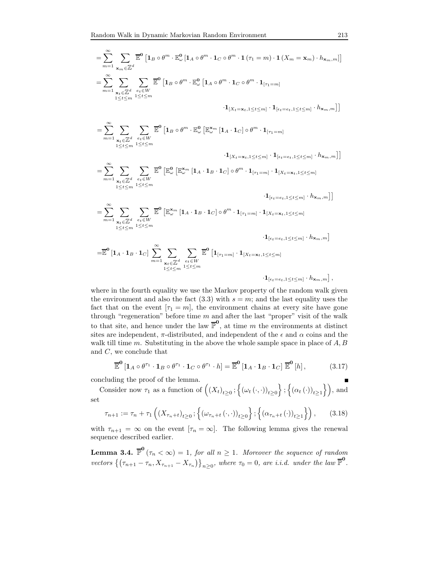$$
= \sum_{m=1}^{\infty} \sum_{\mathbf{x}_m \in \mathbb{Z}^d} \overline{\mathbb{E}}^0 \left[ \mathbf{1}_B \circ \theta^m \cdot \mathbb{E}^0_{\omega} \left[ \mathbf{1}_A \circ \theta^m \cdot \mathbf{1}_C \circ \theta^m \cdot \mathbf{1} \left( \tau_1 = m \right) \cdot \mathbf{1} \left( X_m = \mathbf{x}_m \right) \cdot h_{\mathbf{x}_m, m} \right] \right]
$$
  

$$
= \sum_{m=1}^{\infty} \sum_{\substack{\mathbf{x}_t \in \mathbb{Z}^d \\ 1 \le t \le m}} \sum_{e_t \in W} \overline{\mathbb{E}}^0 \left[ \mathbf{1}_B \circ \theta^m \cdot \mathbb{E}^0_{\omega} \left[ \mathbf{1}_A \circ \theta^m \cdot \mathbf{1}_C \circ \theta^m \cdot \mathbf{1}_{[\tau_1 = m]} \right. \right]
$$

 $\cdot \mathbf{1}_{\left[X_t = \mathbf{x}_t, 1 \leq t \leq m\right]} \cdot \mathbf{1}_{\left[\epsilon_t = e_t, 1 \leq t \leq m\right]} \cdot h_{\mathbf{x}_m, m} \right] \right]$ 

$$
= \sum_{m=1}^{\infty} \sum_{\substack{\mathbf{x}_t \in \mathbb{Z}^d \\ 1 \leq t \leq m}} \sum_{\substack{e_t \in W \\ 1 \leq t \leq m}} \overline{\mathbb{E}}^0 \left[ \mathbf{1}_B \circ \theta^m \cdot \mathbb{E}^0_{\omega} \left[ \mathbb{E}^{\mathbf{x}_m}_{\omega} \left[ \mathbf{1}_A \cdot \mathbf{1}_C \right] \circ \theta^m \cdot \mathbf{1}_{[\tau_1 = m]} \right. \right. \\ \left. \qquad \qquad \left. \mathbf{1}_{[X_t = \mathbf{x}_t, 1 \leq t \leq m]} \cdot \mathbf{1}_{[\epsilon_t = e_t, 1 \leq t \leq m]} \cdot h_{\mathbf{x}_m, m} \right] \right]
$$
\n
$$
= \sum_{m=1}^{\infty} \sum_{\substack{\mathbf{x}_t \in \mathbb{Z}^d \\ 1 \leq t \leq m}} \sum_{\substack{e_t \in W \\ 1 \leq t \leq m}} \overline{\mathbb{E}}^0 \left[ \mathbb{E}^0_{\omega} \left[ \mathbb{E}^{\mathbf{x}_m}_{\omega} \left[ \mathbf{1}_A \cdot \mathbf{1}_B \cdot \mathbf{1}_C \right] \circ \theta^m \cdot \mathbf{1}_{[\tau_1 = m]} \cdot \mathbf{1}_{[X_t = \mathbf{x}_t, 1 \leq t \leq m]} \right. \right]
$$

 $\cdot\mathbf{1}_{[\epsilon_t=e_t,1\leq t\leq m]}\cdot h_{\mathbf{x}_m,m} \big]\big]$ 

$$
= \sum_{m=1}^{\infty} \sum_{\substack{\mathbf{x}_t \in \mathbb{Z}^d \\ 1 \leq t \leq m}} \sum_{\substack{e_t \in W \\ 1 \leq t \leq m}} \overline{\mathbb{E}}^0 \left[ \mathbb{E}_{\omega}^{\mathbf{x}_m} \left[ \mathbf{1}_A \cdot \mathbf{1}_B \cdot \mathbf{1}_C \right] \circ \theta^m \cdot \mathbf{1}_{[\tau_1 = m]} \cdot \mathbf{1}_{[X_t = \mathbf{x}_t, 1 \leq t \leq m]} \right. \\ \left. \cdot \mathbf{1}_{[\epsilon_t = e_t, 1 \leq t \leq m]} \cdot h_{\mathbf{x}_m, m} \right]
$$

$$
= \overline{\mathbb{E}}^{\mathbf{0}}\left[\mathbf{1}_A \cdot \mathbf{1}_B \cdot \mathbf{1}_C\right] \sum_{m=1}^{\infty} \sum_{\substack{\mathbf{x}_t \in \mathbb{Z}^d \\ 1 \leq t \leq m}} \sum_{\substack{e_t \in W \\ 1 \leq t \leq m}} \overline{\mathbb{E}}^{\mathbf{0}}\left[\mathbf{1}_{[\tau_1 = m]} \cdot \mathbf{1}_{[X_t = \mathbf{x}_t, 1 \leq t \leq m]}\right. \\ \left. \cdot \mathbf{1}_{[\epsilon_t = e_t, 1 \leq t \leq m]} \cdot h_{\mathbf{x}_m, m}\right],
$$

where in the fourth equality we use the Markov property of the random walk given the environment and also the fact  $(3.3)$  with  $s = m$ ; and the last equality uses the fact that on the event  $[\tau_1 = m]$ , the environment chains at every site have gone through "regeneration" before time  $m$  and after the last "proper" visit of the walk to that site, and hence under the law  $\mathbb{P}^0$ , at time m the environments at distinct sites are independent,  $\pi$ -distributed, and independent of the  $\epsilon$  and  $\alpha$  coins and the walk till time  $m$ . Substituting in the above the whole sample space in place of  $A, B$ and C, we conclude that

$$
\overline{\mathbb{E}}^{\mathbf{0}}\left[\mathbf{1}_A\circ\theta^{\tau_1}\cdot\mathbf{1}_B\circ\theta^{\tau_1}\cdot\mathbf{1}_C\circ\theta^{\tau_1}\cdot h\right] = \overline{\mathbb{E}}^{\mathbf{0}}\left[\mathbf{1}_A\cdot\mathbf{1}_B\cdot\mathbf{1}_C\right]\overline{\mathbb{E}}^{\mathbf{0}}\left[h\right],\tag{3.17}
$$

concluding the proof of the lemma.

$$
\blacksquare
$$

Consider now  $\tau_1$  as a function of  $((X_t)_{t\geq 0}; \left\{(\omega_t(\cdot,\cdot))_{t\geq 0}\right\}; \left\{(\alpha_t(\cdot))_{t\geq 1}\right\}),$  and set

$$
\tau_{n+1} := \tau_n + \tau_1\left( \left( X_{\tau_n + t} \right)_{t \ge 0}; \left\{ \left( \omega_{\tau_n + t} \left( \cdot, \cdot \right) \right)_{t \ge 0} \right\}; \left\{ \left( \alpha_{\tau_n + t} \left( \cdot \right) \right)_{t \ge 1} \right\} \right), \tag{3.18}
$$

with  $\tau_{n+1} = \infty$  on the event  $[\tau_n = \infty]$ . The following lemma gives the renewal sequence described earlier.

**Lemma 3.4.**  $\overline{\mathbb{P}}^{\mathbf{0}}(\tau_n < \infty) = 1$ , for all  $n \geq 1$ . Moreover the sequence of random vectors  $\{(\tau_{n+1} - \tau_n, X_{\tau_{n+1}} - X_{\tau_n})\}_{n \geq 0}$ , where  $\tau_0 = 0$ , are *i.i.d.* under the law  $\overline{\mathbb{P}}^{\mathbf{0}}$ .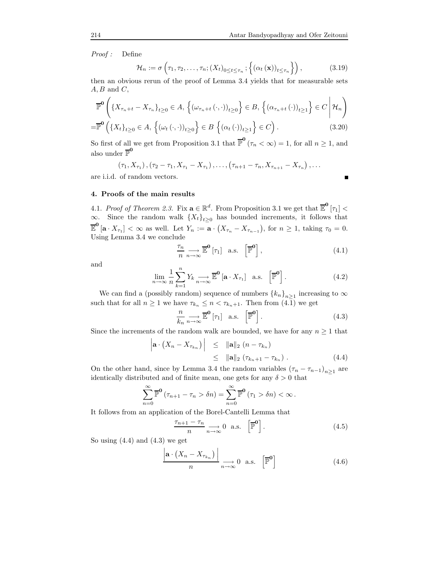Proof : Define

$$
\mathcal{H}_n := \sigma\left(\tau_1, \tau_2, \dots, \tau_n; (X_t)_{0 \le t \le \tau_n}; \left\{ (\alpha_t(\mathbf{x}))_{t \le \tau_n} \right\} \right),\tag{3.19}
$$

then an obvious rerun of the proof of Lemma 3.4 yields that for measurable sets  $A, B$  and  $C$ ,

$$
\mathbb{P}^{\mathbf{0}}\left(\left\{X_{\tau_{n}+t}-X_{\tau_{n}}\right\}_{t\geq0}\in A,\left\{(\omega_{\tau_{n}+t}(\cdot,\cdot))_{t\geq0}\right\}\in B,\left\{(\alpha_{\tau_{n}+t}(\cdot))_{t\geq1}\right\}\in C\,\middle|\,\mathcal{H}_{n}\right)
$$
\n
$$
=\mathbb{P}^{\mathbf{0}}\left(\left\{X_{t}\right\}_{t\geq0}\in A,\left\{(\omega_{t}(\cdot,\cdot))_{t\geq0}\right\}\in B\,\left\{(\alpha_{t}(\cdot))_{t\geq1}\right\}\in C\right). \tag{3.20}
$$

So first of all we get from Proposition 3.1 that  $\overline{\mathbb{P}}^{\mathbf{0}}(\tau_n < \infty) = 1$ , for all  $n \geq 1$ , and also under  $\overline{\mathbb{P}}^0$ 

$$
(\tau_1, X_{\tau_1}), (\tau_2 - \tau_1, X_{\tau_1} - X_{\tau_1}), \ldots, (\tau_{n+1} - \tau_n, X_{\tau_{n+1}} - X_{\tau_n}), \ldots
$$

are i.i.d. of random vectors.

$$
\blacksquare
$$

# 4. Proofs of the main results

4.1. Proof of Theorem 2.3. Fix  $\mathbf{a} \in \mathbb{R}^d$ . From Proposition 3.1 we get that  $\overline{\mathbb{E}}^0$  [ $\tau_1$ ] <  $\infty$ . Since the random walk  $\{X_t\}_{t\geq 0}$  has bounded increments, it follows that  $\overline{\mathbb{E}}^{\mathbf{0}}[\mathbf{a} \cdot X_{\tau_1}] < \infty$  as well. Let  $Y_n := \mathbf{a} \cdot (X_{\tau_n} - X_{\tau_{n-1}})$ , for  $n \geq 1$ , taking  $\tau_0 = 0$ . Using Lemma 3.4 we conclude

$$
\frac{\tau_n}{n} \underset{n \to \infty}{\longrightarrow} \overline{\mathbb{E}}^{\mathbf{0}} \left[ \tau_1 \right] \quad \text{a.s.} \quad \left[ \overline{\mathbb{P}}^{\mathbf{0}} \right], \tag{4.1}
$$

and

$$
\lim_{n \to \infty} \frac{1}{n} \sum_{k=1}^{n} Y_k \underset{n \to \infty}{\longrightarrow} \overline{\mathbb{E}}^{\mathbf{0}} \left[ \mathbf{a} \cdot X_{\tau_1} \right] \text{ a.s. } \left[ \overline{\mathbb{P}}^{\mathbf{0}} \right]. \tag{4.2}
$$

We can find a (possibly random) sequence of numbers  ${k_n}_{n \geq 1}$  increasing to  $\infty$ such that for all  $n \geq 1$  we have  $\tau_{k_n} \leq n < \tau_{k_n+1}$ . Then from  $(4.\overline{1})$  we get

$$
\frac{n}{k_n} \underset{n \to \infty}{\longrightarrow} \overline{\mathbb{E}}^{\mathbf{0}} \left[ \tau_1 \right] \quad \text{a.s.} \quad \left[ \overline{\mathbb{P}}^{\mathbf{0}} \right]. \tag{4.3}
$$

Since the increments of the random walk are bounded, we have for any  $n \geq 1$  that

$$
\left|\mathbf{a} \cdot \left(X_n - X_{\tau_{k_n}}\right)\right| \leq \|\mathbf{a}\|_2 \left(n - \tau_{k_n}\right)
$$
  

$$
\leq \|\mathbf{a}\|_2 \left(\tau_{k_n+1} - \tau_{k_n}\right).
$$
 (4.4)

On the other hand, since by Lemma 3.4 the random variables  $(\tau_n - \tau_{n-1})_{n \geq 1}$  are identically distributed and of finite mean, one gets for any  $\delta > 0$  that

$$
\sum_{n=0}^{\infty} \overline{\mathbb{P}}^{\mathbf{0}} \left( \tau_{n+1} - \tau_n > \delta n \right) = \sum_{n=0}^{\infty} \overline{\mathbb{P}}^{\mathbf{0}} \left( \tau_1 > \delta n \right) < \infty.
$$

It follows from an application of the Borel-Cantelli Lemma that

$$
\frac{\tau_{n+1} - \tau_n}{n} \underset{n \to \infty}{\longrightarrow} 0 \quad \text{a.s.} \quad \left[\overline{\mathbb{P}}^{\mathbf{0}}\right]. \tag{4.5}
$$

So using  $(4.4)$  and  $(4.3)$  we get

$$
\frac{\left|\mathbf{a} \cdot (X_n - X_{\tau_{k_n}})\right|}{n} \longrightarrow_{n \to \infty} 0 \quad \text{a.s.} \quad \left[\overline{\mathbb{P}}^{\mathbf{0}}\right]
$$
 (4.6)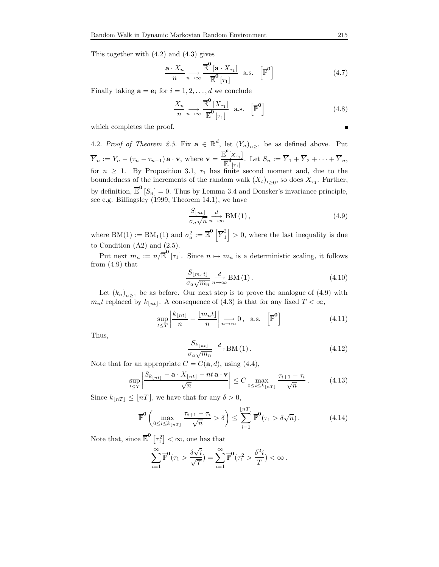This together with (4.2) and (4.3) gives

$$
\frac{\mathbf{a} \cdot X_n}{n} \underset{n \to \infty}{\longrightarrow} \frac{\overline{\mathbb{E}}^{\mathbf{0}} \left[ \mathbf{a} \cdot X_{\tau_1} \right]}{\overline{\mathbb{E}}^{\mathbf{0}} \left[ \tau_1 \right]} \quad \text{a.s.} \quad \left[ \overline{\mathbb{P}}^{\mathbf{0}} \right] \tag{4.7}
$$

Finally taking  $\mathbf{a} = \mathbf{e}_i$  for  $i = 1, 2, ..., d$  we conclude

$$
\frac{X_n}{n} \underset{n \to \infty}{\longrightarrow} \frac{\overline{\mathbb{E}}^{\mathbf{0}} \left[ X_{\tau_1} \right]}{\overline{\mathbb{E}}^{\mathbf{0}} \left[ \tau_1 \right]} \quad \text{a.s.} \quad \left[ \overline{\mathbb{P}}^{\mathbf{0}} \right] \tag{4.8}
$$

which completes the proof.

4.2. Proof of Theorem 2.5. Fix  $\mathbf{a} \in \mathbb{R}^d$ , let  $(Y_n)_{n \geq 1}$  be as defined above. Put  $Y_n := Y_n - (\tau_n - \tau_{n-1}) \mathbf{a} \cdot \mathbf{v}$ , where  $\mathbf{v} =$  $\overline{\mathbb{E}}^{\mathbf{0}}[X_{\tau_1}]$  $\frac{Z^{1+\tau_{1}}}{\mathbb{E}^{\tau_{1}}}$ . Let  $S_{n} := Y_{1} + Y_{2} + \cdots + Y_{n}$ , for  $n \geq 1$ . By Proposition 3.1,  $\tau_1$  has finite second moment and, due to the boundedness of the increments of the random walk  $(X_t)_{t\geq 0}$ , so does  $X_{\tau_1}$ . Further, by definition,  $\overline{\mathbb{E}}^{\mathbf{0}}[S_n] = 0$ . Thus by Lemma 3.4 and Donsker's invariance principle, see e.g. Billingsley (1999, Theorem 14.1), we have

$$
\frac{S_{\lfloor nt \rfloor}}{\sigma_a \sqrt{n}} \xrightarrow{n \to \infty} \text{BM} \left( 1 \right), \tag{4.9}
$$

where BM(1) := BM<sub>1</sub>(1) and  $\sigma_a^2 := \overline{\mathbb{E}}^{\mathbf{0}}\left[\overline{Y}_1^2\right]$  $\binom{2}{1} > 0$ , where the last inequality is due to Condition  $(A2)$  and  $(2.5)$ .

Put next  $m_n := n/\overline{\mathbb{E}}^{\mathbf{0}}[\tau_1]$ . Since  $n \mapsto m_n$  is a deterministic scaling, it follows from  $(4.9)$  that

$$
\frac{S_{\lfloor m_n t \rfloor}}{\sigma_a \sqrt{m_n}} \underset{n \to \infty}{\longrightarrow} \text{BM}(1). \tag{4.10}
$$

Let  $(k_n)_{n\geq 1}$  be as before. Our next step is to prove the analogue of  $(4.9)$  with  $m_nt$  replaced by  $k_{\lfloor nt \rfloor}$ . A consequence of (4.3) is that for any fixed  $T < \infty$ ,

$$
\sup_{t \le T} \left| \frac{k_{\lfloor nt \rfloor}}{n} - \frac{\lfloor m_n t \rfloor}{n} \right| \underset{n \to \infty}{\longrightarrow} 0, \text{ a.s. } \left[ \overline{\mathbb{P}}^{\mathbf{0}} \right]
$$
 (4.11)

Thus,

$$
\frac{S_{k_{\lfloor nt \rfloor}}}{\sigma_a \sqrt{m_n}} \xrightarrow{d} \text{BM}(1). \tag{4.12}
$$

Note that for an appropriate  $C = C(\mathbf{a}, d)$ , using (4.4),

$$
\sup_{t \leq T} \left| \frac{S_{k_{\lfloor nt \rfloor}} - \mathbf{a} \cdot X_{\lfloor nt \rfloor} - nt \mathbf{a} \cdot \mathbf{v}}{\sqrt{n}} \right| \leq C \max_{0 \leq i \leq k_{\lfloor nT \rfloor}} \frac{\tau_{i+1} - \tau_i}{\sqrt{n}}. \tag{4.13}
$$

Since  $k_{\lfloor nT \rfloor} \leq \lfloor nT \rfloor$ , we have that for any  $\delta > 0$ ,

$$
\overline{\mathbb{P}}^{\mathbf{0}}\left(\max_{0\leq i\leq k_{\lfloor nT\rfloor}}\frac{\tau_{i+1}-\tau_{i}}{\sqrt{n}}>\delta\right)\leq \sum_{i=1}^{\lfloor nT\rfloor}\overline{\mathbb{P}}^{\mathbf{0}}(\tau_{1}>\delta\sqrt{n}).\tag{4.14}
$$

Note that, since  $\overline{\mathbb{E}}^{\mathbf{0}}\left[\tau_1^2\right] < \infty$ , one has that

$$
\sum_{i=1}^{\infty} \overline{\mathbb{P}}^{\mathbf{0}}(\tau_1 > \frac{\delta \sqrt{i}}{\sqrt{T}}) = \sum_{i=1}^{\infty} \overline{\mathbb{P}}^{\mathbf{0}}(\tau_1^2 > \frac{\delta^2 i}{T}) < \infty.
$$

$$
\overline{\phantom{a}}
$$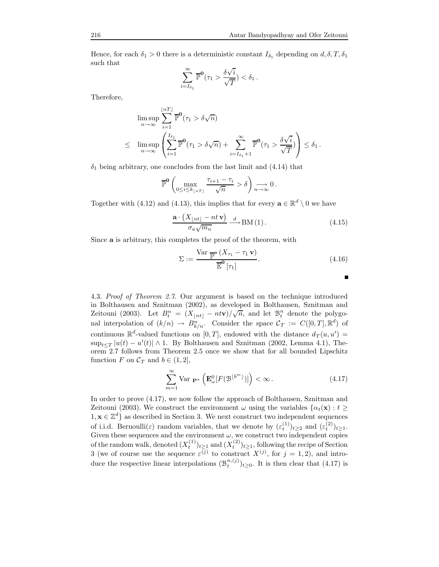Hence, for each  $\delta_1 > 0$  there is a deterministic constant  $I_{\delta_1}$  depending on  $d, \delta, T, \delta_1$ such that

$$
\sum_{i=I_{\delta_1}}^{\infty} \overline{\mathbb{P}}^{\mathbf{0}}(\tau_1 > \frac{\delta \sqrt{i}}{\sqrt{T}} ) < \delta_1.
$$

Therefore,

$$
\limsup_{n \to \infty} \sum_{i=1}^{\lfloor nT \rfloor} \overline{\mathbb{P}}^{\mathbf{0}}(\tau_1 > \delta \sqrt{n})
$$
\n
$$
\leq \limsup_{n \to \infty} \left( \sum_{i=1}^{I_{\delta_1}} \overline{\mathbb{P}}^{\mathbf{0}}(\tau_1 > \delta \sqrt{n}) + \sum_{i=I_{\delta_1}+1}^{\infty} \overline{\mathbb{P}}^{\mathbf{0}}(\tau_1 > \frac{\delta \sqrt{i}}{\sqrt{T}}) \right) \leq \delta_1.
$$

 $\delta_1$  being arbitrary, one concludes from the last limit and  $(4.14)$  that

$$
\overline{\mathbb{P}}^{\mathbf{0}}\left(\max_{0\leq i\leq k_{\lfloor nT\rfloor}}\frac{\tau_{i+1}-\tau_{i}}{\sqrt{n}}>\delta\right)\underset{n\rightarrow\infty}{\longrightarrow}0\,.
$$

Together with (4.12) and (4.13), this implies that for every  $\mathbf{a} \in \mathbb{R}^d \setminus \mathbf{0}$  we have

$$
\frac{\mathbf{a} \cdot (X_{\lfloor nt \rfloor} - nt\,\mathbf{v})}{\sigma_a \sqrt{m_n}} \xrightarrow{d} \text{BM}(1). \tag{4.15}
$$

Since a is arbitrary, this completes the proof of the theorem, with

$$
\Sigma := \frac{\text{Var } \overline{\mathbb{P}}^{\mathbf{0}} \left( X_{\tau_1} - \tau_1 \mathbf{v} \right)}{\overline{\mathbb{E}}^{\mathbf{0}} \left[ \tau_1 \right]}.
$$
\n(4.16)

|  |  |  | 4.3. <i>Proof of Theorem 2.7.</i> Our argument is based on the technique introduced                                   |  |
|--|--|--|-----------------------------------------------------------------------------------------------------------------------|--|
|  |  |  | in Bolthausen and Sznitman (2002), as developed in Bolthausen, Sznitman and                                           |  |
|  |  |  | $T_{\text{oitouni}}$ (9009) Let $D^n = (Y_{\text{v}} - n\text{tr})/\sqrt{n}$ and let $\mathbb{R}^n$ denote the neuro- |  |

in Bolthausen and Sznitman (2002), as developed in Bolthausen, Sznitman and Zeitouni (2003). Let  $B_t^n = (X_{\lfloor nt \rfloor} - nt\mathbf{v})/\sqrt{n}$ , and let  $\mathcal{B}_t^n$  denote the polygonal interpolation of  $(k/n) \to B_{k/n}^n$ . Consider the space  $C_T := C([0,T], \mathbb{R}^d)$  of continuous  $\mathbb{R}^d$ -valued functions on  $[0,T]$ , endowed with the distance  $d_T(u, u') =$  $\sup_{t\leq T}|u(t)-u'(t)|\wedge 1$ . By Bolthausen and Sznitman (2002, Lemma 4.1), Theorem 2.7 follows from Theorem 2.5 once we show that for all bounded Lipschitz function F on  $\mathcal{C}_T$  and  $b \in (1, 2]$ ,

$$
\sum_{m=1}^{\infty} \text{Var } \mathbf{P}^{\pi} \left( \mathbf{E}_{\omega}^{0} [F(\mathcal{B}^{\lfloor b^{m} \rfloor})] \right) < \infty. \tag{4.17}
$$

In order to prove (4.17), we now follow the approach of Bolthausen, Sznitman and Zeitouni (2003). We construct the environment  $\omega$  using the variables  $\{\alpha_t(\mathbf{x}) : t \geq 0\}$  $1, \mathbf{x} \in \mathbb{Z}^d$  as described in Section 3. We next construct two independent sequences of i.i.d. Bernoulli( $\varepsilon$ ) random variables, that we denote by  $(\varepsilon_t^{(1)})_{t\geq 2}$  and  $(\varepsilon_t^{(2)})_{t\geq 1}$ . Given these sequences and the environment  $\omega$ , we construct two independent copies of the random walk, denoted  $(X_t^{(1)})_{t\geq 1}$  and  $(X_t^{(2)})_{t\geq 1}$ , following the recipe of Section 3 (we of course use the sequence  $\varepsilon^{(j)}$  to construct  $X^{(j)}$ , for  $j = 1, 2$ ), and introduce the respective linear interpolations  $(\mathcal{B}_t^{n,(j)})_{t\geq 0}$ . It is then clear that (4.17) is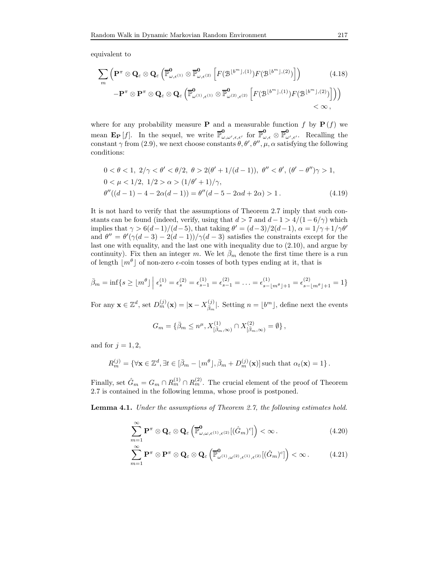equivalent to

$$
\sum_{m} \left( \mathbf{P}^{\pi} \otimes \mathbf{Q}_{\varepsilon} \otimes \mathbf{Q}_{\varepsilon} \left( \overline{\mathbb{P}}_{\omega,\varepsilon^{(1)}}^{\mathbf{0}} \otimes \overline{\mathbb{P}}_{\omega,\varepsilon^{(2)}}^{\mathbf{0}} \left[ F(\mathcal{B}^{\lfloor b^{m} \rfloor,(1)}) F(\mathcal{B}^{\lfloor b^{m} \rfloor,(2)}) \right] \right) \qquad (4.18)
$$

$$
- \mathbf{P}^{\pi} \otimes \mathbf{P}^{\pi} \otimes \mathbf{Q}_{\varepsilon} \otimes \mathbf{Q}_{\varepsilon} \left( \overline{\mathbb{P}}_{\omega^{(1)},\varepsilon^{(1)}}^{\mathbf{0}} \otimes \overline{\mathbb{P}}_{\omega^{(2)},\varepsilon^{(2)}}^{\mathbf{0}} \left[ F(\mathcal{B}^{\lfloor b^{m} \rfloor,(1)}) F(\mathcal{B}^{\lfloor b^{m} \rfloor,(2)}) \right] \right) \qquad < \infty,
$$

where for any probability measure **P** and a measurable function  $f$  by **P**  $(f)$  we mean  $\mathbf{E}_{\mathbf{P}}[f]$ . In the sequel, we write  $\overline{\mathbb{P}}_{\omega}^{\mathbf{0}}$  $_{\omega,\omega',\epsilon,\epsilon'}^{\mathbf{0}}\ \ \text{for}\ \overline{\mathbb{P}}_{\omega,\epsilon}^{\mathbf{0}}\otimes\overline{\mathbb{P}}_{\omega}^{\mathbf{0}}$  $\mathcal{L}_{\omega',\epsilon'}$ . Recalling the constant  $\gamma$  from (2.9), we next choose constants  $\theta$ ,  $\theta'$ ,  $\theta''$ ,  $\mu$ ,  $\alpha$  satisfying the following conditions:

$$
0 < \theta < 1, \ 2/\gamma < \theta' < \theta/2, \ \theta > 2(\theta' + 1/(d - 1)), \ \theta'' < \theta', \ (\theta' - \theta'')\gamma > 1, 0 < \mu < 1/2, \ 1/2 > \alpha > (1/\theta' + 1)/\gamma, \theta''((d - 1) - 4 - 2\alpha(d - 1)) = \theta''(d - 5 - 2\alpha d + 2\alpha) > 1.
$$
\n(4.19)

It is not hard to verify that the assumptions of Theorem 2.7 imply that such constants can be found (indeed, verify, using that  $d > 7$  and  $d - 1 > 4/(1 - 6/\gamma)$  which implies that  $\gamma > 6(d-1)/(d-5)$ , that taking  $\theta' = (d-3)/2(d-1)$ ,  $\alpha = 1/\gamma + 1/\gamma \theta'$ and  $\theta'' = \theta'(\gamma(d-3) - 2(d-1))/\gamma(d-3)$  satisfies the constraints except for the last one with equality, and the last one with inequality due to (2.10), and argue by continuity). Fix then an integer m. We let  $\bar{\beta}_m$  denote the first time there is a run of length  $\lfloor m^{\theta} \rfloor$  of non-zero  $\epsilon$ -coin tosses of both types ending at it, that is

$$
\bar{\beta}_m = \inf \{ s \ge \lfloor m^{\theta} \rfloor \mid \epsilon_s^{(1)} = \epsilon_s^{(2)} = \epsilon_{s-1}^{(1)} = \epsilon_{s-1}^{(2)} = \ldots = \epsilon_{s-\lfloor m^{\theta} \rfloor + 1}^{(1)} = \epsilon_{s-\lfloor m^{\theta} \rfloor + 1}^{(2)} = 1 \}
$$

For any  $\mathbf{x} \in \mathbb{Z}^d$ , set  $D_m^{(j)}(\mathbf{x}) = |\mathbf{x} - X_{\bar{\beta}_m}^{(j)}|$ . Setting  $n = \lfloor b^m \rfloor$ , define next the events

$$
G_m = \{ \bar{\beta}_m \le n^{\mu}, X^{(1)}_{[\bar{\beta}_m, \infty)} \cap X^{(2)}_{[\bar{\beta}_m, \infty)} = \emptyset \},
$$

and for  $j = 1, 2$ ,

$$
R_m^{(j)} = \{ \forall \mathbf{x} \in \mathbb{Z}^d, \exists t \in [\bar{\beta}_m - \lfloor m^\theta \rfloor, \bar{\beta}_m + D_m^{(j)}(\mathbf{x})] \text{ such that } \alpha_t(\mathbf{x}) = 1 \}.
$$

Finally, set  $\hat{G}_m = G_m \cap R_m^{(1)} \cap R_m^{(2)}$ . The crucial element of the proof of Theorem 2.7 is contained in the following lemma, whose proof is postponed.

Lemma 4.1. Under the assumptions of Theorem 2.7, the following estimates hold.

$$
\sum_{m=1}^{\infty} \mathbf{P}^{\pi} \otimes \mathbf{Q}_{\varepsilon} \otimes \mathbf{Q}_{\varepsilon} \left( \overline{\mathbb{P}}_{\omega,\omega,\varepsilon^{(1)},\varepsilon^{(2)}}^{0} [(\hat{G}_{m})^{c}]\right) < \infty.
$$
\n(4.20)

$$
\sum_{m=1}^{\infty} \mathbf{P}^{\pi} \otimes \mathbf{P}^{\pi} \otimes \mathbf{Q}_{\varepsilon} \otimes \mathbf{Q}_{\varepsilon} \left( \overline{\mathbb{P}}_{\omega^{(1)}, \omega^{(2)}, \varepsilon^{(1)}, \varepsilon^{(2)}}^{\mathbf{0}}[(\hat{G}_{m})^{c}]\right) < \infty.
$$
 (4.21)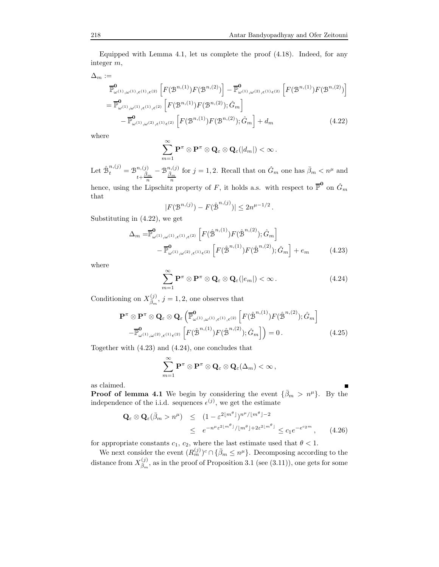Equipped with Lemma 4.1, let us complete the proof (4.18). Indeed, for any integer m,

 $\Delta_m :=$ 

$$
\begin{split} &\overline{\mathbb{P}}_{\omega^{(1)},\omega^{(1)},\epsilon^{(1)},\epsilon^{(2)}}^{0} \left[ F(\mathcal{B}^{n,(1)}) F(\mathcal{B}^{n,(2)}) \right] - \overline{\mathbb{P}}_{\omega^{(1)},\omega^{(2)},\epsilon^{(1)}\epsilon^{(2)}}^{0} \left[ F(\mathcal{B}^{n,(1)}) F(\mathcal{B}^{n,(2)}) \right] \\ &= \overline{\mathbb{P}}_{\omega^{(1)},\omega^{(1)},\epsilon^{(1)},\epsilon^{(2)}}^{0} \left[ F(\mathcal{B}^{n,(1)}) F(\mathcal{B}^{n,(2)}) ; \hat{G}_m \right] \\ &- \overline{\mathbb{P}}_{\omega^{(1)},\omega^{(2)},\epsilon^{(1)}\epsilon^{(2)}}^{0} \left[ F(\mathcal{B}^{n,(1)}) F(\mathcal{B}^{n,(2)}); \hat{G}_m \right] + d_m \end{split} \tag{4.22}
$$

where

$$
\sum_{m=1}^{\infty} \mathbf{P}^{\pi} \otimes \mathbf{P}^{\pi} \otimes \mathbf{Q}_{\varepsilon} \otimes \mathbf{Q}_{\varepsilon}(|d_m|) < \infty.
$$

Let  $\hat{\mathcal{B}}_t^{n,(j)} = \mathcal{B}^{n,(j)}_{\bar{\beta}_s}$  $t+\frac{\bar{\beta}_m}{n}$  $-\frac{\mathcal{B}^{n,(j)}_{\bar{\beta}_m}}{n}$ for  $j = 1, 2$ . Recall that on  $\hat{G}_m$  one has  $\bar{\beta}_m < n^{\mu}$  and hence, using the Lipschitz property of F, it holds a.s. with respect to  $\overline{\mathbb{P}}^{\mathbf{0}}$  on  $\hat{G}_m$ 

that

$$
|F(\mathcal{B}^{n,(j)}) - F(\hat{\mathcal{B}}^{n,(j)})| \le 2n^{\mu - 1/2}.
$$

Substituting in (4.22), we get

$$
\Delta_m = \overline{\mathbb{P}}_{\omega^{(1)},\omega^{(1)},\epsilon^{(1)},\epsilon^{(2)}}^{0} \left[ F(\hat{\mathcal{B}}^{n,(1)}) F(\hat{\mathcal{B}}^{n,(2)}); \hat{G}_m \right] - \overline{\mathbb{P}}_{\omega^{(1)},\omega^{(2)},\epsilon^{(1)},\epsilon^{(2)}}^{0} \left[ F(\hat{\mathcal{B}}^{n,(1)}) F(\hat{\mathcal{B}}^{n,(2)}); \hat{G}_m \right] + e_m \tag{4.23}
$$

where

$$
\sum_{m=1}^{\infty} \mathbf{P}^{\pi} \otimes \mathbf{P}^{\pi} \otimes \mathbf{Q}_{\varepsilon} \otimes \mathbf{Q}_{\varepsilon}(|e_m|) < \infty. \tag{4.24}
$$

Conditioning on  $X_{\bar{\beta}_m}^{(j)}$ ,  $j = 1, 2$ , one observes that

$$
\mathbf{P}^{\pi} \otimes \mathbf{P}^{\pi} \otimes \mathbf{Q}_{\varepsilon} \otimes \mathbf{Q}_{\varepsilon} \left( \overline{\mathbb{P}}_{\omega^{(1)}, \omega^{(1)}, \varepsilon^{(1)}, \varepsilon^{(2)}}^{0} \left[ F(\hat{\mathcal{B}}^{n,(1)}) F(\hat{\mathcal{B}}^{n,(2)}) ; \hat{G}_m \right] - \overline{\mathbb{P}}_{\omega^{(1)}, \omega^{(2)}, \varepsilon^{(1)}, \varepsilon^{(2)}}^{0} \left[ F(\hat{\mathcal{B}}^{n,(1)}) F(\hat{\mathcal{B}}^{n,(2)}) ; \hat{G}_m \right] \right) = 0.
$$
\n(4.25)

Together with (4.23) and (4.24), one concludes that

$$
\sum_{m=1}^{\infty} \mathbf{P}^{\pi} \otimes \mathbf{P}^{\pi} \otimes \mathbf{Q}_{\varepsilon} \otimes \mathbf{Q}_{\varepsilon}(\Delta_m) < \infty,
$$

as claimed.

**Proof of lemma 4.1** We begin by considering the event  $\{\bar{\beta}_m > n^{\mu}\}\$ . By the independence of the i.i.d. sequences  $\epsilon^{(j)}$ , we get the estimate

$$
\mathbf{Q}_{\varepsilon} \otimes \mathbf{Q}_{\varepsilon}(\bar{\beta}_{m} > n^{\mu}) \leq (1 - \varepsilon^{2 \lfloor m^{\theta} \rfloor})^{n^{\mu}/\lfloor m^{\theta} \rfloor - 2}
$$
  
 
$$
\leq e^{-n^{\mu} \varepsilon^{2 \lfloor m^{\theta} \rfloor} / \lfloor m^{\theta} \rfloor + 2\varepsilon^{2 \lfloor m^{\theta} \rfloor}} \leq c_{1} e^{-e^{c_{2} m}}, \qquad (4.26)
$$

for appropriate constants  $c_1, c_2$ , where the last estimate used that  $\theta < 1$ .

We next consider the event  $(R_m^{(j)})^c \cap \{\bar{\beta}_m \leq n^{\mu}\}\.$  Decomposing according to the distance from  $X_{\bar{\beta}_m}^{(j)}$ , as in the proof of Proposition 3.1 (see (3.11)), one gets for some

$$
\overline{a}
$$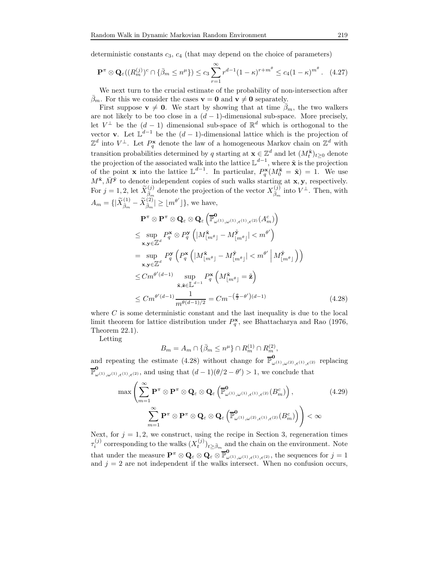deterministic constants  $c_3$ ,  $c_4$  (that may depend on the choice of parameters)

$$
\mathbf{P}^{\pi} \otimes \mathbf{Q}_{\varepsilon}((R_m^{(j)})^c \cap \{\bar{\beta}_m \leq n^{\mu}\}) \leq c_3 \sum_{r=1}^{\infty} r^{d-1} (1-\kappa)^{r+m^{\theta}} \leq c_4 (1-\kappa)^{m^{\theta}}. \quad (4.27)
$$

We next turn to the crucial estimate of the probability of non-intersection after  $\bar{\beta}_m$ . For this we consider the cases  $\mathbf{v} = \mathbf{0}$  and  $\mathbf{v} \neq \mathbf{0}$  separately.

First suppose  $\mathbf{v} \neq \mathbf{0}$ . We start by showing that at time  $\bar{\beta}_m$ , the two walkers are not likely to be too close in a  $(d-1)$ -dimensional sub-space. More precisely, let  $V^{\perp}$  be the  $(d-1)$  dimensional sub-space of  $\mathbb{R}^{d}$  which is orthogonal to the vector **v**. Let  $\mathbb{L}^{d-1}$  be the  $(d-1)$ -dimensional lattice which is the projection of  $\mathbb{Z}^d$  into  $V^{\perp}$ . Let  $P_q^{\mathbf{x}}$  denote the law of a homogeneous Markov chain on  $\mathbb{Z}^d$  with transition probabilities determined by q starting at  $\mathbf{x} \in \mathbb{Z}^d$  and let  $(M_t^{\tilde{\mathbf{x}}})_{t \geq 0}$  denote the projection of the associated walk into the lattice  $\mathbb{L}^{d-1}$ , where  $\tilde{\mathbf{x}}$  is the projection of the point **x** into the lattice  $\mathbb{L}^{d-1}$ . In particular,  $P_q^{\mathbf{x}}(M_q^{\tilde{\mathbf{x}}} = \tilde{\mathbf{x}}) = 1$ . We use  $M^{\tilde{\mathbf{x}}}, \bar{M}^{\tilde{\mathbf{y}}}$  to denote independent copies of such walks starting at  $\mathbf{x}, \mathbf{y}$ , respectively. For  $j = 1, 2$ , let  $\widetilde{X}_{\overline{\beta}_m}^{(j)}$  denote the projection of the vector  $X_{\overline{\beta}_m}^{(j)}$  into  $V^{\perp}$ . Then, with  $A_m = \{ |\widetilde{X}_{\bar{\beta}_m}^{(1)} - \widetilde{X}_{\bar{\beta}_m}^{(2)}| \geq \lfloor m^{\theta'} \rfloor \},\$  we have,

$$
\mathbf{P}^{\pi} \otimes \mathbf{P}^{\pi} \otimes \mathbf{Q}_{\varepsilon} \otimes \mathbf{Q}_{\varepsilon} \left( \overline{\mathbb{P}}_{\omega^{(1)}, \omega^{(1)}, \varepsilon^{(1)}, \varepsilon^{(2)}}^{0}(A_{m}^{c}) \right) \leq \sup_{\mathbf{x}, \mathbf{y} \in \mathbb{Z}^{d}} P_{q}^{\mathbf{x}} \otimes P_{q}^{\mathbf{y}} \left( |M_{\lfloor m^{\theta} \rfloor}^{\tilde{\mathbf{x}}} - M_{\lfloor m^{\theta} \rfloor}^{\tilde{\mathbf{y}}} | < m^{\theta'} \right) \n= \sup_{\mathbf{x}, \mathbf{y} \in \mathbb{Z}^{d}} P_{q}^{\mathbf{y}} \left( P_{q}^{\mathbf{x}} \left( |M_{\lfloor m^{\theta} \rfloor}^{\tilde{\mathbf{x}}} - M_{\lfloor m^{\theta} \rfloor}^{\tilde{\mathbf{y}}} | < m^{\theta'} \middle| M_{\lfloor m^{\theta} \rfloor}^{\tilde{\mathbf{y}}} \right) \right) \leq C m^{\theta'(d-1)} \sup_{\tilde{\mathbf{x}}, \tilde{\mathbf{z}} \in \mathbb{L}^{d-1}} P_{q}^{\mathbf{x}} \left( M_{\lfloor m^{\theta} \rfloor}^{\tilde{\mathbf{x}}} = \tilde{\mathbf{z}} \right) \leq C m^{\theta'(d-1)} \frac{1}{m^{\theta(d-1)/2}} = C m^{-(\frac{\theta}{2} - \theta')(d-1)}
$$
(4.28)

where  $C$  is some deterministic constant and the last inequality is due to the local limit theorem for lattice distribution under  $P_q^{\mathbf{x}}$ , see Bhattacharya and Rao (1976, Theorem 22.1).

Letting

$$
B_m = A_m \cap \{ \bar{\beta}_m \le n^{\mu} \} \cap R_m^{(1)} \cap R_m^{(2)},
$$

and repeating the estimate (4.28) without change for  $\overline{\mathbb{P}}_{\omega^{(1)},\omega^{(2)},\epsilon^{(1)},\epsilon^{(2)}}^{\mathbf{0}}$  replacing  $\overline{\mathbb{P}}_{\omega^{(1)},\omega^{(1)},\epsilon^{(1)},\epsilon^{(2)}},$  and using that  $(d-1)(\theta/2-\theta')>1$ , we conclude that

$$
\max \left( \sum_{m=1}^{\infty} \mathbf{P}^{\pi} \otimes \mathbf{P}^{\pi} \otimes \mathbf{Q}_{\varepsilon} \otimes \mathbf{Q}_{\varepsilon} \left( \overline{\mathbb{P}}_{\omega^{(1)}, \omega^{(1)}, \varepsilon^{(1)}, \varepsilon^{(2)}}^{0}(B_{m}^{c}) \right), \qquad (4.29)
$$

$$
\sum_{m=1}^{\infty} \mathbf{P}^{\pi} \otimes \mathbf{P}^{\pi} \otimes \mathbf{Q}_{\varepsilon} \otimes \mathbf{Q}_{\varepsilon} \left( \overline{\mathbb{P}}_{\omega^{(1)}, \omega^{(2)}, \varepsilon^{(1)}, \varepsilon^{(2)}}^{0}(B_{m}^{c}) \right) \right) < \infty
$$

Next, for  $j = 1, 2$ , we construct, using the recipe in Section 3, regeneration times  $\tau_i^{(j)}$  $\sum_{i=1}^{(j)}$  corresponding to the walks  $(X_t^{(j)})_{t \geq \bar{\beta}_m}$  and the chain on the environment. Note that under the measure  $\mathbf{P}^{\pi} \otimes \mathbf{Q}_{\varepsilon} \otimes \mathbf{Q}_{\varepsilon} \otimes \overline{\mathbb{P}}_{\omega^{(1)},\omega^{(1)},\varepsilon^{(1)},\varepsilon^{(2)}},$  the sequences for  $j=1$ and  $j = 2$  are not independent if the walks intersect. When no confusion occurs,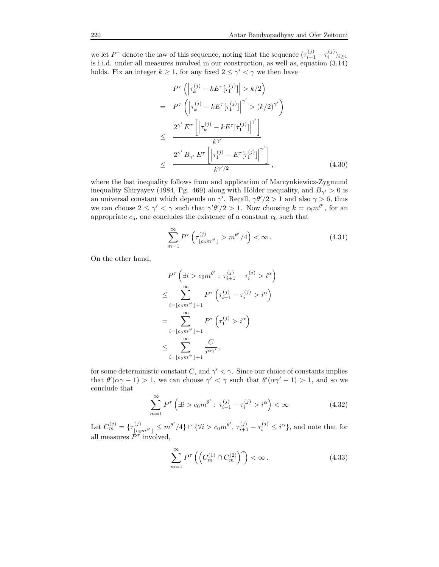we let  $P^{\tau}$  denote the law of this sequence, noting that the sequence  $(\tau_{i+1}^{(j)} - \tau_i^{(j)})_{i \geq 1}$ is i.i.d. under all measures involved in our construction, as well as, equation (3.14) holds. Fix an integer  $k \geq 1$ , for any fixed  $2 \leq \gamma' < \gamma$  we then have

$$
P^{\tau}\left(\left|\tau_{k}^{(j)} - kE^{\tau}[\tau_{1}^{(j)}]\right| > k/2\right)
$$
\n
$$
= P^{\tau}\left(\left|\tau_{k}^{(j)} - kE^{\tau}[\tau_{1}^{(j)}]\right|^{\gamma'} > (k/2)^{\gamma'}\right)
$$
\n
$$
\leq \frac{2^{\gamma'}E^{\tau}\left[\left|\tau_{k}^{(j)} - kE^{\tau}[\tau_{1}^{(j)}]\right|^{\gamma'}\right]}{k^{\gamma'}}.
$$
\n
$$
\leq \frac{2^{\gamma'}B_{\gamma'}E^{\tau}\left[\left|\tau_{1}^{(j)} - E^{\tau}[\tau_{1}^{(j)}]\right|^{\gamma'}\right]}{k^{\gamma'/2}}, \qquad (4.30)
$$

where the last inequality follows from and application of Marcynkiewicz-Zygmund inequality Shiryayev (1984, Pg. 469) along with Hölder inequality, and  $B_{\gamma} > 0$  is an universal constant which depends on  $\gamma'$ . Recall,  $\gamma\theta'/2 > 1$  and also  $\gamma > 6$ , thus we can choose  $2 \leq \gamma' < \gamma$  such that  $\gamma' \theta'/2 > 1$ . Now choosing  $k = c_5 m^{\theta'}$ , for an appropriate  $c_5$ , one concludes the existence of a constant  $c_6$  such that

$$
\sum_{m=1}^{\infty} P^{\tau} \left( \tau_{\lfloor c_6 m^{\theta'} \rfloor}^{(j)} > m^{\theta'} / 4 \right) < \infty.
$$
 (4.31)

On the other hand,

$$
P^{\tau} \left( \exists i > c_6 m^{\theta'} : \tau_{i+1}^{(j)} - \tau_i^{(j)} > i^{\alpha} \right)
$$
  
\n
$$
\leq \sum_{i=\lfloor c_6 m^{\theta'} \rfloor+1}^{\infty} P^{\tau} \left( \tau_{i+1}^{(j)} - \tau_i^{(j)} > i^{\alpha} \right)
$$
  
\n
$$
= \sum_{i=\lfloor c_6 m^{\theta'} \rfloor+1}^{\infty} P^{\tau} \left( \tau_1^{(j)} > i^{\alpha} \right)
$$
  
\n
$$
\leq \sum_{i=\lfloor c_6 m^{\theta'} \rfloor+1}^{\infty} \frac{C}{i^{\alpha\gamma'}},
$$

for some deterministic constant C, and  $\gamma' < \gamma$ . Since our choice of constants implies that  $\theta'(\alpha\gamma - 1) > 1$ , we can choose  $\gamma' < \gamma$  such that  $\theta'(\alpha\gamma' - 1) > 1$ , and so we conclude that

$$
\sum_{m=1}^{\infty} P^{\tau} \left( \exists i > c_6 m^{\theta'} : \tau_{i+1}^{(j)} - \tau_i^{(j)} > i^{\alpha} \right) < \infty \tag{4.32}
$$

Let  $C_m^{(j)} = \{ \tau_{\lfloor c_6 m^{\theta'} \rfloor}^{(j)} \le m^{\theta'} / 4 \} \cap \{ \forall i > c_6 m^{\theta'}, \tau_{i+1}^{(j)} - \tau_i^{(j)} \le i^{\alpha} \},$  and note that for all measures  $\tilde{P}^{\tau}$  involved,

$$
\sum_{m=1}^{\infty} P^{\tau} \left( \left( C_m^{(1)} \cap C_m^{(2)} \right)^c \right) < \infty. \tag{4.33}
$$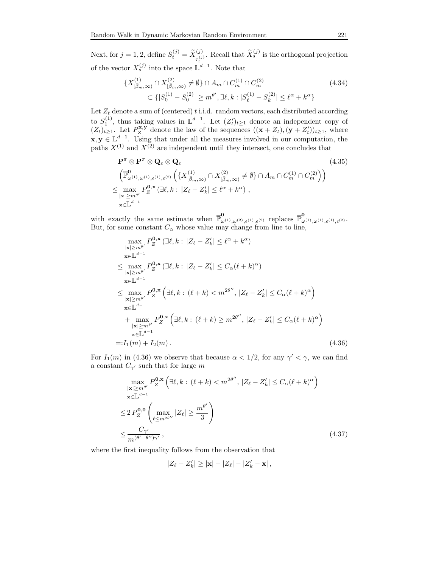Next, for  $j = 1, 2$ , define  $S_t^{(j)} = \widetilde{X}_{\tau_t^{(j)}}^{(j)}$ . Recall that  $\widetilde{X}_s^{(j)}$  is the orthogonal projection of the vector  $X_s^{(j)}$  into the space  $\mathbb{L}^{d-1}$ . Note that

$$
\{X^{(1)}_{[\bar{\beta}_m,\infty)} \cap X^{(2)}_{[\bar{\beta}_m,\infty)} \neq \emptyset\} \cap A_m \cap C_m^{(1)} \cap C_m^{(2)} \qquad (4.34)
$$
  

$$
\subset \{|S_0^{(1)} - S_0^{(2)}| \ge m^{\theta'}, \exists \ell, k : |S_\ell^{(1)} - S_k^{(2)}| \le \ell^{\alpha} + k^{\alpha}\}
$$

Let  $Z_t$  denote a sum of (centered) t i.i.d. random vectors, each distributed according to  $S_1^{(1)}$ , thus taking values in  $\mathbb{L}^{d-1}$ . Let  $(Z_t')_{t\geq 1}$  denote an independent copy of  $(Z_t)_{t\geq 1}$ . Let  $P_Z^{\mathbf{x},\mathbf{y}}$  denote the law of the sequences  $((\mathbf{x}+Z_t),(\mathbf{y}+Z'_t))_{t\geq 1}$ , where  $\mathbf{x}, \mathbf{y} \in \mathbb{L}^{d-1}$ . Using that under all the measures involved in our computation, the paths  $X^{(1)}$  and  $X^{(2)}$  are independent until they intersect, one concludes that

$$
\mathbf{P}^{\pi} \otimes \mathbf{P}^{\pi} \otimes \mathbf{Q}_{\varepsilon} \otimes \mathbf{Q}_{\varepsilon}
$$
\n
$$
\left(\overline{\mathbb{P}}_{\omega^{(1)},\omega^{(1)},\varepsilon^{(1)},\varepsilon^{(2)}}^{\mathbf{0}}\left(\{X_{\left[\overline{\beta}_{m},\infty\right)}^{(1)} \cap X_{\left[\overline{\beta}_{m},\infty\right)}^{(2)} \neq \emptyset\} \cap A_{m} \cap C_{m}^{(1)} \cap C_{m}^{(2)}\right)\right)
$$
\n
$$
\leq \max_{\substack{|\mathbf{x}| \geq m^{\theta'}}} P_{Z}^{\mathbf{0},\mathbf{x}} \left(\exists \ell,k : |Z_{\ell} - Z_{k}'| \leq \ell^{\alpha} + k^{\alpha}\right),
$$
\n
$$
\leq \mathbb{L}^{d-1}
$$
\n(4.35)

with exactly the same estimate when  $\overline{\mathbb{P}}_{\omega^{(1)},\omega^{(2)},\epsilon^{(1)},\epsilon^{(2)}}^{\mathbf{0}}$  replaces  $\overline{\mathbb{P}}_{\omega^{(1)},\omega^{(1)},\epsilon^{(1)},\epsilon^{(2)}}^{\mathbf{0}}$ . But, for some constant  $C_{\alpha}$  whose value may change from line to line,

$$
\max_{\substack{|\mathbf{x}| \ge m^{\theta'}}} P_{Z}^{\mathbf{0},\mathbf{x}} \left(\exists \ell, k : |Z_{\ell} - Z'_{k}| \le \ell^{\alpha} + k^{\alpha}\right)
$$
\n
$$
\mathbf{x} \in \mathbb{L}^{d-1}
$$
\n
$$
\le \max_{\substack{|\mathbf{x}| \ge m^{\theta'}}} P_{Z}^{\mathbf{0},\mathbf{x}} \left(\exists \ell, k : |Z_{\ell} - Z'_{k}| \le C_{\alpha}(\ell + k)^{\alpha}\right)
$$
\n
$$
\mathbf{x} \in \mathbb{L}^{d-1}
$$
\n
$$
\le \max_{\substack{|\mathbf{x}| \ge m^{\theta'}}} P_{Z}^{\mathbf{0},\mathbf{x}} \left(\exists \ell, k : (\ell + k) < m^{2\theta''}, |Z_{\ell} - Z'_{k}| \le C_{\alpha}(\ell + k)^{\alpha}\right)
$$
\n
$$
\mathbf{x} \in \mathbb{L}^{d-1}
$$
\n
$$
+ \max_{\substack{|\mathbf{x}| \ge m^{\theta'}}} P_{Z}^{\mathbf{0},\mathbf{x}} \left(\exists \ell, k : (\ell + k) \ge m^{2\theta''}, |Z_{\ell} - Z'_{k}| \le C_{\alpha}(\ell + k)^{\alpha}\right)
$$
\n
$$
\mathbf{x} \in \mathbb{L}^{d-1}
$$
\n
$$
=: I_{1}(m) + I_{2}(m). \tag{4.36}
$$

For  $I_1(m)$  in (4.36) we observe that because  $\alpha < 1/2$ , for any  $\gamma' < \gamma$ , we can find a constant  $C_{\gamma'}$  such that for large  $m$ 

$$
\max_{\substack{|\mathbf{x}| \ge m^{\theta'}}} P_{Z}^{\mathbf{0},\mathbf{x}} \left( \exists \ell, k : (\ell + k) < m^{2\theta''}, |Z_{\ell} - Z'_{k}| \le C_{\alpha} (\ell + k)^{\alpha} \right)
$$
\n
$$
\mathbf{x} \in \mathbb{L}^{d-1}
$$
\n
$$
\le 2 P_{Z}^{\mathbf{0},\mathbf{0}} \left( \max_{\ell \le m^{2\theta''}} |Z_{\ell}| \ge \frac{m^{\theta'}}{3} \right)
$$
\n
$$
\le \frac{C_{\gamma'}}{m^{(\theta'-\theta'')\gamma'}}, \tag{4.37}
$$

where the first inequality follows from the observation that

$$
|Z_{\ell}-Z_{k}'| \geq |\mathbf{x}|-|Z_{\ell}|-|Z_{k}'-\mathbf{x}|,
$$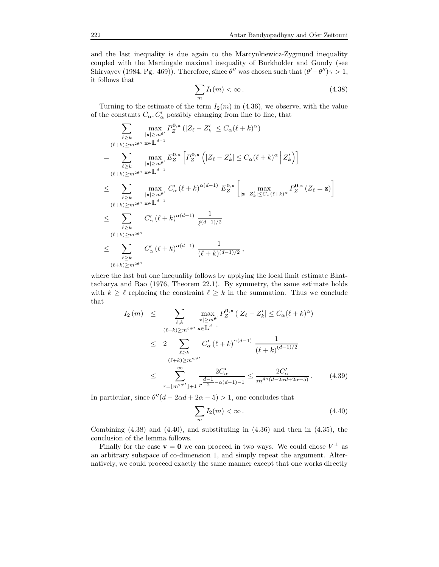and the last inequality is due again to the Marcynkiewicz-Zygmund inequality coupled with the Martingale maximal inequality of Burkholder and Gundy (see Shiryayev (1984, Pg. 469)). Therefore, since  $\theta''$  was chosen such that  $(\theta' - \theta'')\gamma > 1$ , it follows that

$$
\sum_{m} I_1(m) < \infty \,. \tag{4.38}
$$

Turning to the estimate of the term  $I_2(m)$  in (4.36), we observe, with the value of the constants  $C_{\alpha}, C'_{\alpha}$  possibly changing from line to line, that

$$
\sum_{\ell \geq k} \max_{\substack{|\mathbf{x}| \geq m^{\theta'}}} P_{Z}^{\mathbf{0},\mathbf{x}}(|Z_{\ell} - Z'_{k}| \leq C_{\alpha}(\ell + k)^{\alpha})
$$
\n
$$
= \sum_{\substack{\ell \geq k \\ |\mathbf{x}| \geq m^{\theta}}} \max_{\substack{|\mathbf{x}| \geq m^{\theta'}} \\ |\mathbf{x}| \geq m^{\theta'}} E_{Z}^{\mathbf{0},\mathbf{x}}\left[P_{Z}^{\mathbf{0},\mathbf{x}}\left(|Z_{\ell} - Z'_{k}| \leq C_{\alpha}(\ell + k)^{\alpha} | Z'_{k}\right)\right]
$$
\n
$$
\leq \sum_{\substack{\ell \geq k \\ |\mathbf{x}| \geq m^{\theta'}}} \max_{\substack{|\mathbf{x}| \geq m^{\theta'}} \\ |\mathbf{x}| \geq m^{\theta'}} C'_{\alpha}(\ell + k)^{\alpha(d-1)} E_{Z}^{\mathbf{0},\mathbf{x}}\left[\max_{\substack{|\mathbf{z}| \geq C_{\alpha}(\ell + k)^{\alpha}} \\ |\mathbf{z}| \leq C_{\alpha}(\ell + k)^{\alpha}} P_{Z}^{\mathbf{0},\mathbf{x}}(Z_{\ell} = \mathbf{z})\right]
$$
\n
$$
\leq \sum_{\substack{\ell \geq k \\ (\ell + k) \geq m^{2\theta''} \\ |\mathbf{x}| \geq m^{\theta''}}} C'_{\alpha}(\ell + k)^{\alpha(d-1)} \frac{1}{\ell^{(d-1)/2}}
$$
\n
$$
\leq \sum_{\substack{\ell \geq k \\ (\ell + k) \geq m^{2\theta''}}} C'_{\alpha}(\ell + k)^{\alpha(d-1)} \frac{1}{(\ell + k)^{(d-1)/2}},
$$

where the last but one inequality follows by applying the local limit estimate Bhattacharya and Rao (1976, Theorem 22.1). By symmetry, the same estimate holds with  $k \geq \ell$  replacing the constraint  $\ell \geq k$  in the summation. Thus we conclude that

$$
I_{2}(m) \leq \sum_{\ell,k} \max_{|\mathbf{x}| \geq m^{\theta'}} P_{Z}^{\mathbf{0},\mathbf{x}}(|Z_{\ell} - Z_{k}'| \leq C_{\alpha}(\ell + k)^{\alpha})
$$
  

$$
\leq 2 \sum_{\ell \geq k} C_{\alpha}'(\ell + k)^{\alpha(d-1)} \frac{1}{(\ell + k)^{(d-1)/2}}
$$
  

$$
\leq \sum_{\ell \geq k}^{\infty} \frac{2C_{\alpha}'}{(\ell + k)^{2m^{2\theta''}}}
$$
  

$$
\leq \sum_{r= \lfloor m^{2\theta''} \rfloor + 1}^{\infty} \frac{2C_{\alpha}'}{r^{\frac{d-1}{2} - \alpha(d-1) - 1}} \leq \frac{2C_{\alpha}'}{m^{\theta''(d - 2\alpha d + 2\alpha - 5)}}.
$$
 (4.39)

In particular, since  $\theta''(d - 2\alpha d + 2\alpha - 5) > 1$ , one concludes that

$$
\sum_{m} I_2(m) < \infty \,. \tag{4.40}
$$

Combining (4.38) and (4.40), and substituting in (4.36) and then in (4.35), the conclusion of the lemma follows.

Finally for the case  $\mathbf{v} = \mathbf{0}$  we can proceed in two ways. We could chose  $V^{\perp}$  as an arbitrary subspace of co-dimension 1, and simply repeat the argument. Alternatively, we could proceed exactly the same manner except that one works directly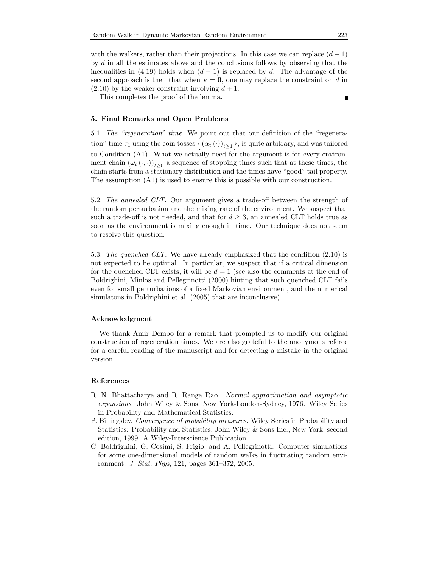with the walkers, rather than their projections. In this case we can replace  $(d-1)$ by d in all the estimates above and the conclusions follows by observing that the inequalities in (4.19) holds when  $(d-1)$  is replaced by d. The advantage of the second approach is then that when  $\mathbf{v} = \mathbf{0}$ , one may replace the constraint on d in  $(2.10)$  by the weaker constraint involving  $d+1$ .

This completes the proof of the lemma.

#### 5. Final Remarks and Open Problems

5.1. The "regeneration" time. We point out that our definition of the "regeneration" time  $\tau_1$  using the coin tosses  $\left\{(\alpha_t(\cdot))_{t\geq1}\right\}$ , is quite arbitrary, and was tailored to Condition (A1). What we actually need for the argument is for every environment chain  $(\omega_t(\cdot, \cdot))_{t \geq 0}$  a sequence of stopping times such that at these times, the chain starts from a stationary distribution and the times have "good" tail property. The assumption (A1) is used to ensure this is possible with our construction.

5.2. The annealed CLT. Our argument gives a trade-off between the strength of the random perturbation and the mixing rate of the environment. We suspect that such a trade-off is not needed, and that for  $d \geq 3$ , an annealed CLT holds true as soon as the environment is mixing enough in time. Our technique does not seem to resolve this question.

5.3. The quenched CLT. We have already emphasized that the condition (2.10) is not expected to be optimal. In particular, we suspect that if a critical dimension for the quenched CLT exists, it will be  $d = 1$  (see also the comments at the end of Boldrighini, Minlos and Pellegrinotti (2000) hinting that such quenched CLT fails even for small perturbations of a fixed Markovian environment, and the numerical simulatons in Boldrighini et al. (2005) that are inconclusive).

#### Acknowledgment

We thank Amir Dembo for a remark that prompted us to modify our original construction of regeneration times. We are also grateful to the anonymous referee for a careful reading of the manuscript and for detecting a mistake in the original version.

#### References

- R. N. Bhattacharya and R. Ranga Rao. Normal approximation and asymptotic expansions. John Wiley & Sons, New York-London-Sydney, 1976. Wiley Series in Probability and Mathematical Statistics.
- P. Billingsley. Convergence of probability measures. Wiley Series in Probability and Statistics: Probability and Statistics. John Wiley & Sons Inc., New York, second edition, 1999. A Wiley-Interscience Publication.
- C. Boldrighini, G. Cosimi, S. Frigio, and A. Pellegrinotti. Computer simulations for some one-dimensional models of random walks in fluctuating random environment. J. Stat. Phys, 121, pages 361–372, 2005.

٠